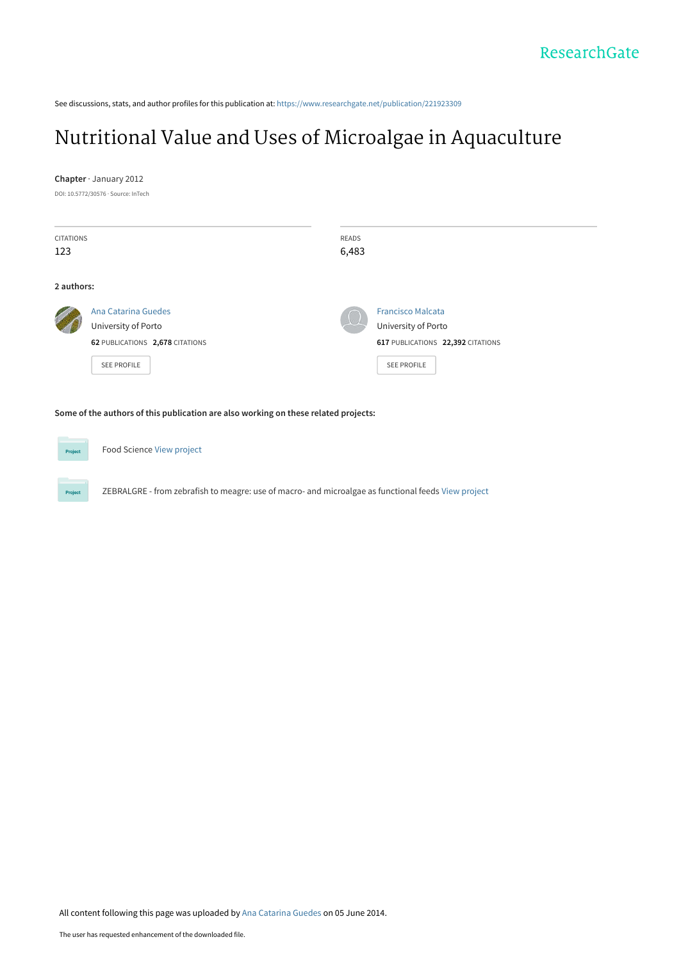See discussions, stats, and author profiles for this publication at: [https://www.researchgate.net/publication/221923309](https://www.researchgate.net/publication/221923309_Nutritional_Value_and_Uses_of_Microalgae_in_Aquaculture?enrichId=rgreq-56b412cbf2dc9a201291c3f9ede3b845-XXX&enrichSource=Y292ZXJQYWdlOzIyMTkyMzMwOTtBUzoxMDQ1NTEwNDY3MTMzNTFAMTQwMTkzODMyMDQxOA%3D%3D&el=1_x_2&_esc=publicationCoverPdf)

## [Nutritional Value and Uses of Microalgae in Aquaculture](https://www.researchgate.net/publication/221923309_Nutritional_Value_and_Uses_of_Microalgae_in_Aquaculture?enrichId=rgreq-56b412cbf2dc9a201291c3f9ede3b845-XXX&enrichSource=Y292ZXJQYWdlOzIyMTkyMzMwOTtBUzoxMDQ1NTEwNDY3MTMzNTFAMTQwMTkzODMyMDQxOA%3D%3D&el=1_x_3&_esc=publicationCoverPdf)

#### **Chapter** · January 2012

DOI: 10.5772/30576 · Source: InTech

| <b>CITATIONS</b> |                                 |  |  | <b>READS</b>             |                                   |
|------------------|---------------------------------|--|--|--------------------------|-----------------------------------|
| 123              |                                 |  |  | 6,483                    |                                   |
|                  |                                 |  |  |                          |                                   |
| 2 authors:       |                                 |  |  |                          |                                   |
|                  | Ana Catarina Guedes             |  |  | <b>Francisco Malcata</b> |                                   |
|                  | University of Porto             |  |  |                          | University of Porto               |
|                  | 62 PUBLICATIONS 2,678 CITATIONS |  |  |                          | 617 PUBLICATIONS 22,392 CITATIONS |
|                  | <b>SEE PROFILE</b>              |  |  |                          | <b>SEE PROFILE</b>                |
|                  |                                 |  |  |                          |                                   |

**Some of the authors of this publication are also working on these related projects:**

Food Science [View project](https://www.researchgate.net/project/Food-Science-16?enrichId=rgreq-56b412cbf2dc9a201291c3f9ede3b845-XXX&enrichSource=Y292ZXJQYWdlOzIyMTkyMzMwOTtBUzoxMDQ1NTEwNDY3MTMzNTFAMTQwMTkzODMyMDQxOA%3D%3D&el=1_x_9&_esc=publicationCoverPdf)

ZEBRALGRE - from zebrafish to meagre: use of macro- and microalgae as functional feeds [View project](https://www.researchgate.net/project/ZEBRALGRE-from-zebrafish-to-meagre-use-of-macro-and-microalgae-as-functional-feeds?enrichId=rgreq-56b412cbf2dc9a201291c3f9ede3b845-XXX&enrichSource=Y292ZXJQYWdlOzIyMTkyMzMwOTtBUzoxMDQ1NTEwNDY3MTMzNTFAMTQwMTkzODMyMDQxOA%3D%3D&el=1_x_9&_esc=publicationCoverPdf)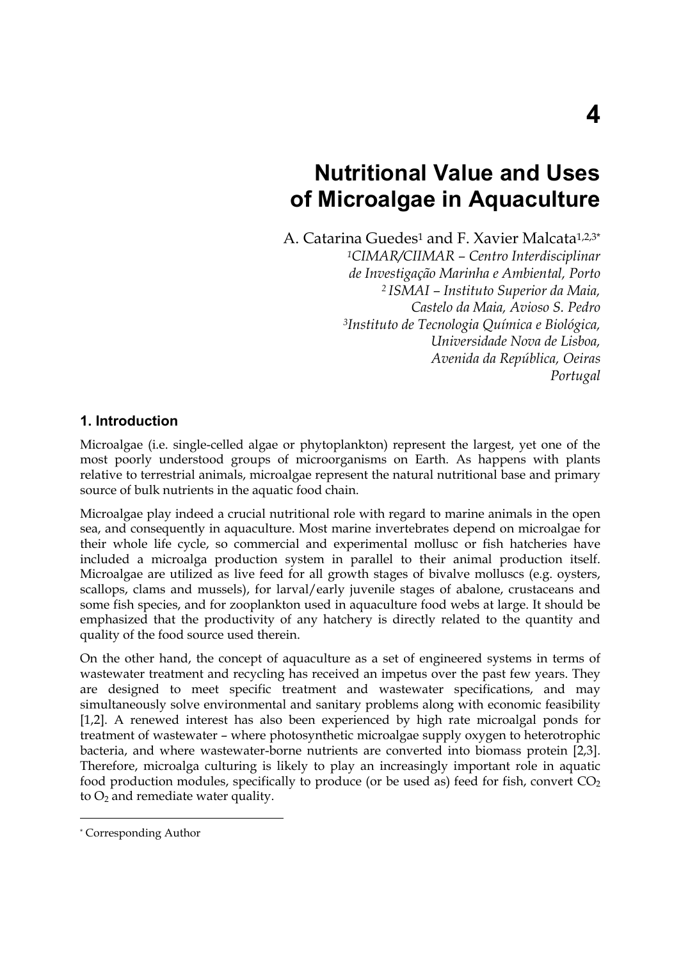# **Nutritional Value and Uses of Microalgae in Aquaculture**

A. Catarina Guedes<sup>1</sup> and F. Xavier Malcata<sup>1,2,3\*</sup>

*1CIMAR/CIIMAR – Centro Interdisciplinar de Investigação Marinha e Ambiental, Porto 2 ISMAI – Instituto Superior da Maia, Castelo da Maia, Avioso S. Pedro 3Instituto de Tecnologia Química e Biológica, Universidade Nova de Lisboa, Avenida da República, Oeiras Portugal* 

## **1. Introduction**

Microalgae (i.e. single-celled algae or phytoplankton) represent the largest, yet one of the most poorly understood groups of microorganisms on Earth. As happens with plants relative to terrestrial animals, microalgae represent the natural nutritional base and primary source of bulk nutrients in the aquatic food chain.

Microalgae play indeed a crucial nutritional role with regard to marine animals in the open sea, and consequently in aquaculture. Most marine invertebrates depend on microalgae for their whole life cycle, so commercial and experimental mollusc or fish hatcheries have included a microalga production system in parallel to their animal production itself. Microalgae are utilized as live feed for all growth stages of bivalve molluscs (e.g. oysters, scallops, clams and mussels), for larval/early juvenile stages of abalone, crustaceans and some fish species, and for zooplankton used in aquaculture food webs at large. It should be emphasized that the productivity of any hatchery is directly related to the quantity and quality of the food source used therein.

On the other hand, the concept of aquaculture as a set of engineered systems in terms of wastewater treatment and recycling has received an impetus over the past few years. They are designed to meet specific treatment and wastewater specifications, and may simultaneously solve environmental and sanitary problems along with economic feasibility [1,2]. A renewed interest has also been experienced by high rate microalgal ponds for treatment of wastewater – where photosynthetic microalgae supply oxygen to heterotrophic bacteria, and where wastewater-borne nutrients are converted into biomass protein [2,3]. Therefore, microalga culturing is likely to play an increasingly important role in aquatic food production modules, specifically to produce (or be used as) feed for fish, convert  $CO<sub>2</sub>$ to  $O_2$  and remediate water quality.

 $\overline{a}$ 

<sup>\*</sup> Corresponding Author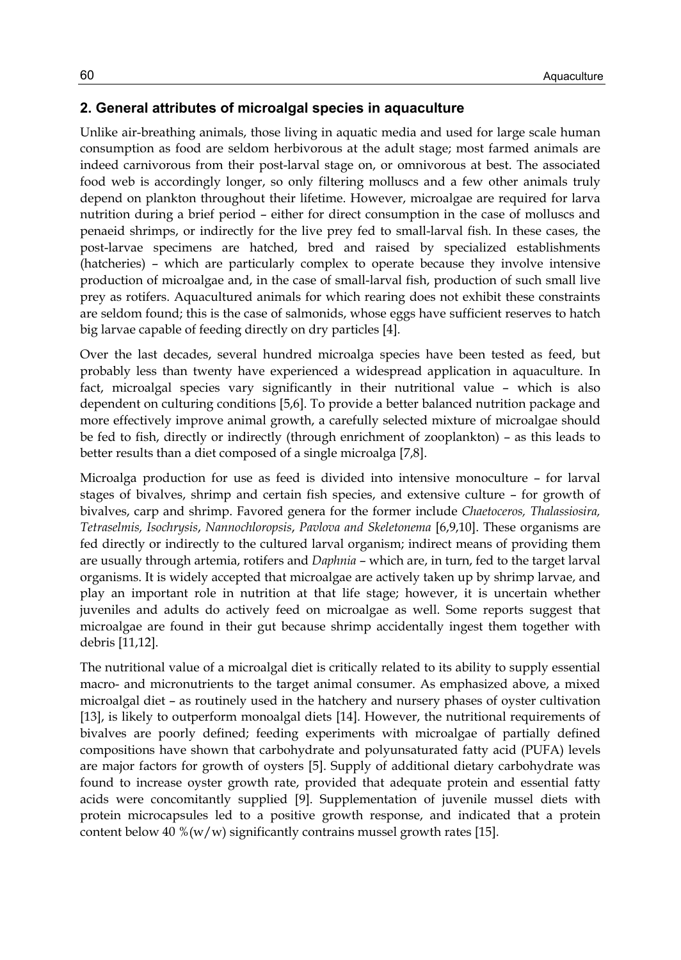## **2. General attributes of microalgal species in aquaculture**

Unlike air-breathing animals, those living in aquatic media and used for large scale human consumption as food are seldom herbivorous at the adult stage; most farmed animals are indeed carnivorous from their post-larval stage on, or omnivorous at best. The associated food web is accordingly longer, so only filtering molluscs and a few other animals truly depend on plankton throughout their lifetime. However, microalgae are required for larva nutrition during a brief period – either for direct consumption in the case of molluscs and penaeid shrimps, or indirectly for the live prey fed to small-larval fish. In these cases, the post-larvae specimens are hatched, bred and raised by specialized establishments (hatcheries) – which are particularly complex to operate because they involve intensive production of microalgae and, in the case of small-larval fish, production of such small live prey as rotifers. Aquacultured animals for which rearing does not exhibit these constraints are seldom found; this is the case of salmonids, whose eggs have sufficient reserves to hatch big larvae capable of feeding directly on dry particles [4].

Over the last decades, several hundred microalga species have been tested as feed, but probably less than twenty have experienced a widespread application in aquaculture. In fact, microalgal species vary significantly in their nutritional value – which is also dependent on culturing conditions [5,6]. To provide a better balanced nutrition package and more effectively improve animal growth, a carefully selected mixture of microalgae should be fed to fish, directly or indirectly (through enrichment of zooplankton) – as this leads to better results than a diet composed of a single microalga [7,8].

Microalga production for use as feed is divided into intensive monoculture – for larval stages of bivalves, shrimp and certain fish species, and extensive culture – for growth of bivalves, carp and shrimp. Favored genera for the former include *Chaetoceros, Thalassiosira, Tetraselmis, Isochrysis*, *Nannochloropsis*, *Pavlova and Skeletonema* [6,9,10]. These organisms are fed directly or indirectly to the cultured larval organism; indirect means of providing them are usually through artemia, rotifers and *Daphnia* – which are, in turn, fed to the target larval organisms. It is widely accepted that microalgae are actively taken up by shrimp larvae, and play an important role in nutrition at that life stage; however, it is uncertain whether juveniles and adults do actively feed on microalgae as well. Some reports suggest that microalgae are found in their gut because shrimp accidentally ingest them together with debris [11,12].

The nutritional value of a microalgal diet is critically related to its ability to supply essential macro- and micronutrients to the target animal consumer. As emphasized above, a mixed microalgal diet – as routinely used in the hatchery and nursery phases of oyster cultivation [13], is likely to outperform monoalgal diets [14]. However, the nutritional requirements of bivalves are poorly defined; feeding experiments with microalgae of partially defined compositions have shown that carbohydrate and polyunsaturated fatty acid (PUFA) levels are major factors for growth of oysters [5]. Supply of additional dietary carbohydrate was found to increase oyster growth rate, provided that adequate protein and essential fatty acids were concomitantly supplied [9]. Supplementation of juvenile mussel diets with protein microcapsules led to a positive growth response, and indicated that a protein content below 40 % $(w/w)$  significantly contrains mussel growth rates [15].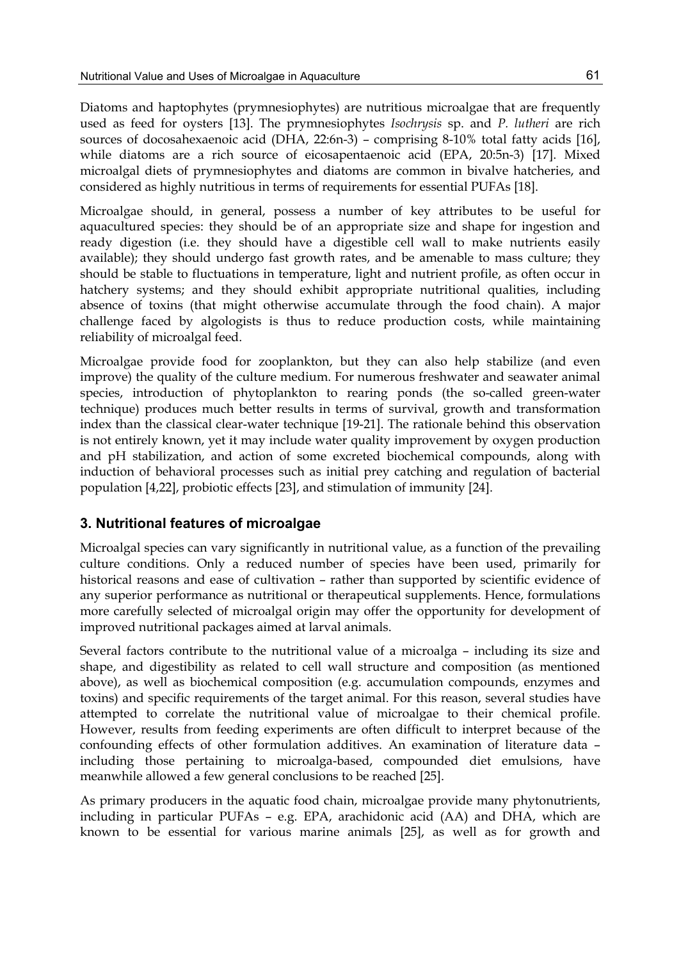Diatoms and haptophytes (prymnesiophytes) are nutritious microalgae that are frequently used as feed for oysters [13]. The prymnesiophytes *Isochrysis* sp. and *P. lutheri* are rich sources of docosahexaenoic acid (DHA, 22:6n-3) – comprising 8-10% total fatty acids [16], while diatoms are a rich source of eicosapentaenoic acid (EPA, 20:5n-3) [17]. Mixed microalgal diets of prymnesiophytes and diatoms are common in bivalve hatcheries, and considered as highly nutritious in terms of requirements for essential PUFAs [18].

Microalgae should, in general, possess a number of key attributes to be useful for aquacultured species: they should be of an appropriate size and shape for ingestion and ready digestion (i.e. they should have a digestible cell wall to make nutrients easily available); they should undergo fast growth rates, and be amenable to mass culture; they should be stable to fluctuations in temperature, light and nutrient profile, as often occur in hatchery systems; and they should exhibit appropriate nutritional qualities, including absence of toxins (that might otherwise accumulate through the food chain). A major challenge faced by algologists is thus to reduce production costs, while maintaining reliability of microalgal feed.

Microalgae provide food for zooplankton, but they can also help stabilize (and even improve) the quality of the culture medium. For numerous freshwater and seawater animal species, introduction of phytoplankton to rearing ponds (the so-called green-water technique) produces much better results in terms of survival, growth and transformation index than the classical clear-water technique [19-21]. The rationale behind this observation is not entirely known, yet it may include water quality improvement by oxygen production and pH stabilization, and action of some excreted biochemical compounds, along with induction of behavioral processes such as initial prey catching and regulation of bacterial population [4,22], probiotic effects [23], and stimulation of immunity [24].

## **3. Nutritional features of microalgae**

Microalgal species can vary significantly in nutritional value, as a function of the prevailing culture conditions. Only a reduced number of species have been used, primarily for historical reasons and ease of cultivation – rather than supported by scientific evidence of any superior performance as nutritional or therapeutical supplements. Hence, formulations more carefully selected of microalgal origin may offer the opportunity for development of improved nutritional packages aimed at larval animals.

Several factors contribute to the nutritional value of a microalga – including its size and shape, and digestibility as related to cell wall structure and composition (as mentioned above), as well as biochemical composition (e.g. accumulation compounds, enzymes and toxins) and specific requirements of the target animal. For this reason, several studies have attempted to correlate the nutritional value of microalgae to their chemical profile. However, results from feeding experiments are often difficult to interpret because of the confounding effects of other formulation additives. An examination of literature data – including those pertaining to microalga-based, compounded diet emulsions, have meanwhile allowed a few general conclusions to be reached [25].

As primary producers in the aquatic food chain, microalgae provide many phytonutrients, including in particular PUFAs – e.g. EPA, arachidonic acid (AA) and DHA, which are known to be essential for various marine animals [25], as well as for growth and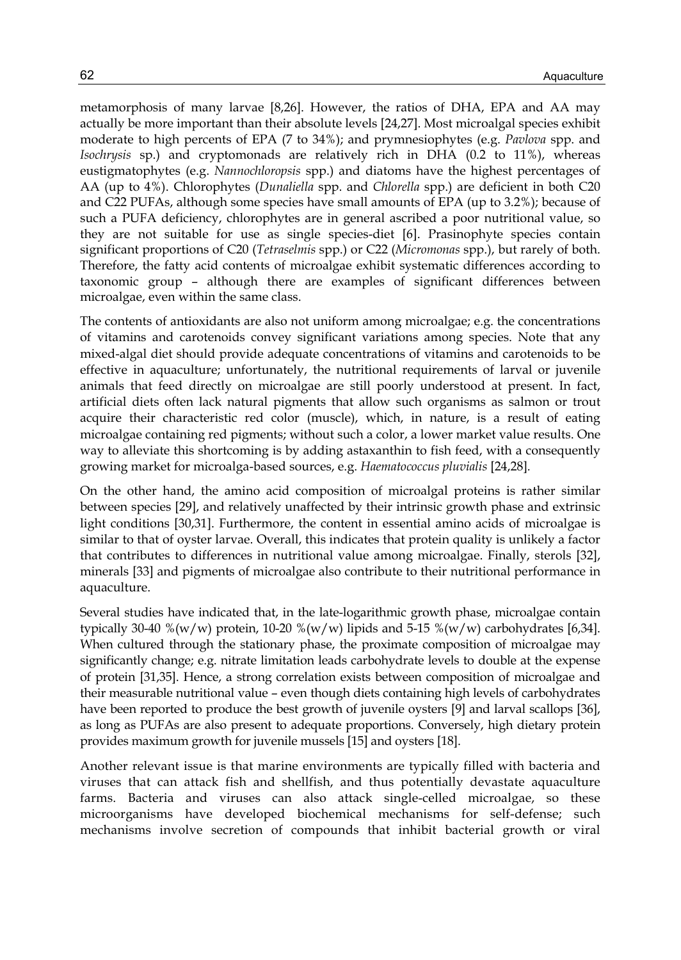metamorphosis of many larvae [8,26]. However, the ratios of DHA, EPA and AA may actually be more important than their absolute levels [24,27]. Most microalgal species exhibit moderate to high percents of EPA (7 to 34%); and prymnesiophytes (e.g. *Pavlova* spp. and *Isochrysis* sp.) and cryptomonads are relatively rich in DHA (0.2 to 11%), whereas eustigmatophytes (e.g. *Nannochloropsis* spp.) and diatoms have the highest percentages of AA (up to 4%). Chlorophytes (*Dunaliella* spp. and *Chlorella* spp.) are deficient in both C20 and C22 PUFAs, although some species have small amounts of EPA (up to 3.2%); because of such a PUFA deficiency, chlorophytes are in general ascribed a poor nutritional value, so they are not suitable for use as single species-diet [6]. Prasinophyte species contain significant proportions of C20 (*Tetraselmis* spp.) or C22 (*Micromonas* spp.), but rarely of both. Therefore, the fatty acid contents of microalgae exhibit systematic differences according to taxonomic group – although there are examples of significant differences between microalgae, even within the same class.

The contents of antioxidants are also not uniform among microalgae; e.g. the concentrations of vitamins and carotenoids convey significant variations among species. Note that any mixed-algal diet should provide adequate concentrations of vitamins and carotenoids to be effective in aquaculture; unfortunately, the nutritional requirements of larval or juvenile animals that feed directly on microalgae are still poorly understood at present. In fact, artificial diets often lack natural pigments that allow such organisms as salmon or trout acquire their characteristic red color (muscle), which, in nature, is a result of eating microalgae containing red pigments; without such a color, a lower market value results. One way to alleviate this shortcoming is by adding astaxanthin to fish feed, with a consequently growing market for microalga-based sources, e.g. *Haematococcus pluvialis* [24,28]*.*

On the other hand, the amino acid composition of microalgal proteins is rather similar between species [29], and relatively unaffected by their intrinsic growth phase and extrinsic light conditions [30,31]. Furthermore, the content in essential amino acids of microalgae is similar to that of oyster larvae. Overall, this indicates that protein quality is unlikely a factor that contributes to differences in nutritional value among microalgae. Finally, sterols [32], minerals [33] and pigments of microalgae also contribute to their nutritional performance in aquaculture.

Several studies have indicated that, in the late-logarithmic growth phase, microalgae contain typically 30-40 %(w/w) protein, 10-20 %(w/w) lipids and 5-15 %(w/w) carbohydrates [6,34]. When cultured through the stationary phase, the proximate composition of microalgae may significantly change; e.g. nitrate limitation leads carbohydrate levels to double at the expense of protein [31,35]. Hence, a strong correlation exists between composition of microalgae and their measurable nutritional value – even though diets containing high levels of carbohydrates have been reported to produce the best growth of juvenile oysters [9] and larval scallops [36], as long as PUFAs are also present to adequate proportions. Conversely, high dietary protein provides maximum growth for juvenile mussels [15] and oysters [18].

Another relevant issue is that marine environments are typically filled with bacteria and viruses that can attack fish and shellfish, and thus potentially devastate aquaculture farms. Bacteria and viruses can also attack single-celled microalgae, so these microorganisms have developed biochemical mechanisms for self-defense; such mechanisms involve secretion of compounds that inhibit bacterial growth or viral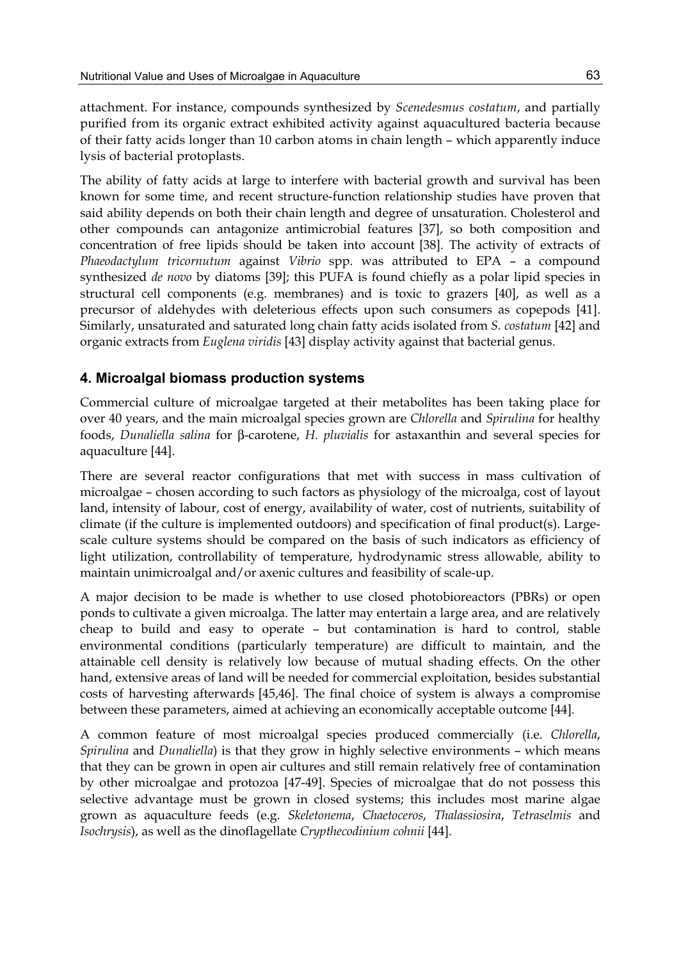attachment. For instance, compounds synthesized by *Scenedesmus costatum*, and partially purified from its organic extract exhibited activity against aquacultured bacteria because of their fatty acids longer than 10 carbon atoms in chain length – which apparently induce lysis of bacterial protoplasts.

The ability of fatty acids at large to interfere with bacterial growth and survival has been known for some time, and recent structure-function relationship studies have proven that said ability depends on both their chain length and degree of unsaturation. Cholesterol and other compounds can antagonize antimicrobial features [37], so both composition and concentration of free lipids should be taken into account [38]. The activity of extracts of *Phaeodactylum tricornutum* against *Vibrio* spp. was attributed to EPA – a compound synthesized *de novo* by diatoms [39]; this PUFA is found chiefly as a polar lipid species in structural cell components (e.g. membranes) and is toxic to grazers [40], as well as a precursor of aldehydes with deleterious effects upon such consumers as copepods [41]. Similarly, unsaturated and saturated long chain fatty acids isolated from *S. costatum* [42] and organic extracts from *Euglena viridis* [43] display activity against that bacterial genus.

## **4. Microalgal biomass production systems**

Commercial culture of microalgae targeted at their metabolites has been taking place for over 40 years, and the main microalgal species grown are *Chlorella* and *Spirulina* for healthy foods, *Dunaliella salina* for β-carotene, *H. pluvialis* for astaxanthin and several species for aquaculture [44].

There are several reactor configurations that met with success in mass cultivation of microalgae – chosen according to such factors as physiology of the microalga, cost of layout land, intensity of labour, cost of energy, availability of water, cost of nutrients, suitability of climate (if the culture is implemented outdoors) and specification of final product(s). Largescale culture systems should be compared on the basis of such indicators as efficiency of light utilization, controllability of temperature, hydrodynamic stress allowable, ability to maintain unimicroalgal and/or axenic cultures and feasibility of scale-up.

A major decision to be made is whether to use closed photobioreactors (PBRs) or open ponds to cultivate a given microalga. The latter may entertain a large area, and are relatively cheap to build and easy to operate – but contamination is hard to control, stable environmental conditions (particularly temperature) are difficult to maintain, and the attainable cell density is relatively low because of mutual shading effects. On the other hand, extensive areas of land will be needed for commercial exploitation, besides substantial costs of harvesting afterwards [45,46]. The final choice of system is always a compromise between these parameters, aimed at achieving an economically acceptable outcome [44].

A common feature of most microalgal species produced commercially (i.e. *Chlorella*, *Spirulina* and *Dunaliella*) is that they grow in highly selective environments – which means that they can be grown in open air cultures and still remain relatively free of contamination by other microalgae and protozoa [47-49]. Species of microalgae that do not possess this selective advantage must be grown in closed systems; this includes most marine algae grown as aquaculture feeds (e.g. *Skeletonema*, *Chaetoceros*, *Thalassiosira*, *Tetraselmis* and *Isochrysis*), as well as the dinoflagellate *Crypthecodinium cohnii* [44].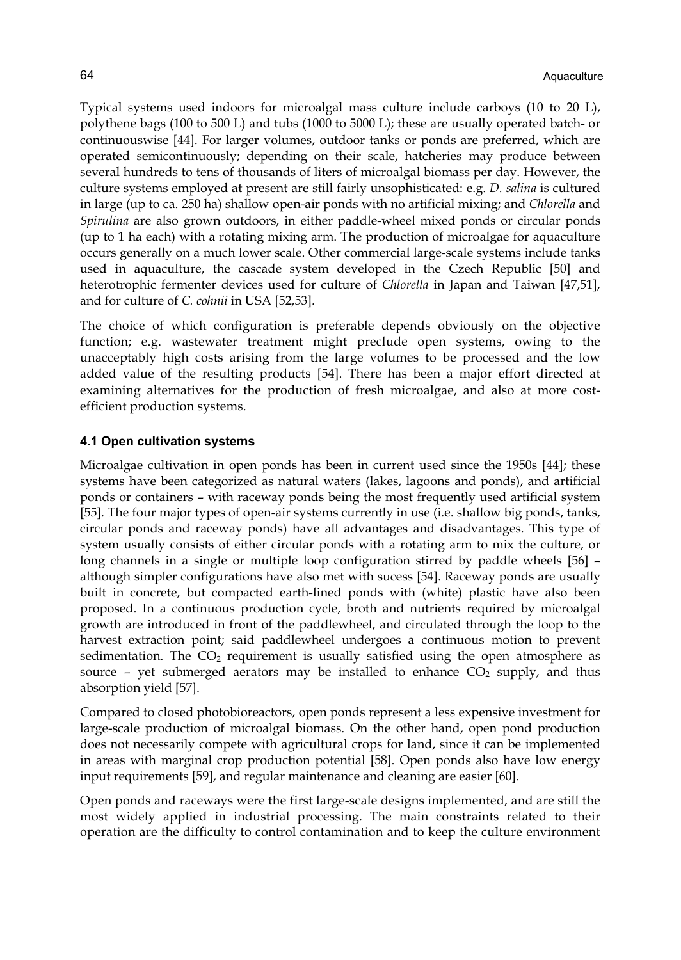Typical systems used indoors for microalgal mass culture include carboys (10 to 20 L), polythene bags (100 to 500 L) and tubs (1000 to 5000 L); these are usually operated batch- or continuouswise [44]. For larger volumes, outdoor tanks or ponds are preferred, which are operated semicontinuously; depending on their scale, hatcheries may produce between several hundreds to tens of thousands of liters of microalgal biomass per day. However, the culture systems employed at present are still fairly unsophisticated: e.g. *D. salina* is cultured in large (up to ca. 250 ha) shallow open-air ponds with no artificial mixing; and *Chlorella* and *Spirulina* are also grown outdoors, in either paddle-wheel mixed ponds or circular ponds (up to 1 ha each) with a rotating mixing arm. The production of microalgae for aquaculture occurs generally on a much lower scale. Other commercial large-scale systems include tanks used in aquaculture, the cascade system developed in the Czech Republic [50] and heterotrophic fermenter devices used for culture of *Chlorella* in Japan and Taiwan [47,51], and for culture of *C. cohnii* in USA [52,53].

The choice of which configuration is preferable depends obviously on the objective function; e.g. wastewater treatment might preclude open systems, owing to the unacceptably high costs arising from the large volumes to be processed and the low added value of the resulting products [54]. There has been a major effort directed at examining alternatives for the production of fresh microalgae, and also at more costefficient production systems.

#### **4.1 Open cultivation systems**

Microalgae cultivation in open ponds has been in current used since the 1950s [44]; these systems have been categorized as natural waters (lakes, lagoons and ponds), and artificial ponds or containers – with raceway ponds being the most frequently used artificial system [55]. The four major types of open-air systems currently in use (i.e. shallow big ponds, tanks, circular ponds and raceway ponds) have all advantages and disadvantages. This type of system usually consists of either circular ponds with a rotating arm to mix the culture, or long channels in a single or multiple loop configuration stirred by paddle wheels [56] – although simpler configurations have also met with sucess [54]. Raceway ponds are usually built in concrete, but compacted earth-lined ponds with (white) plastic have also been proposed. In a continuous production cycle, broth and nutrients required by microalgal growth are introduced in front of the paddlewheel, and circulated through the loop to the harvest extraction point; said paddlewheel undergoes a continuous motion to prevent sedimentation. The  $CO<sub>2</sub>$  requirement is usually satisfied using the open atmosphere as source – yet submerged aerators may be installed to enhance  $CO<sub>2</sub>$  supply, and thus absorption yield [57].

Compared to closed photobioreactors, open ponds represent a less expensive investment for large-scale production of microalgal biomass. On the other hand, open pond production does not necessarily compete with agricultural crops for land, since it can be implemented in areas with marginal crop production potential [58]. Open ponds also have low energy input requirements [59], and regular maintenance and cleaning are easier [60].

Open ponds and raceways were the first large-scale designs implemented, and are still the most widely applied in industrial processing. The main constraints related to their operation are the difficulty to control contamination and to keep the culture environment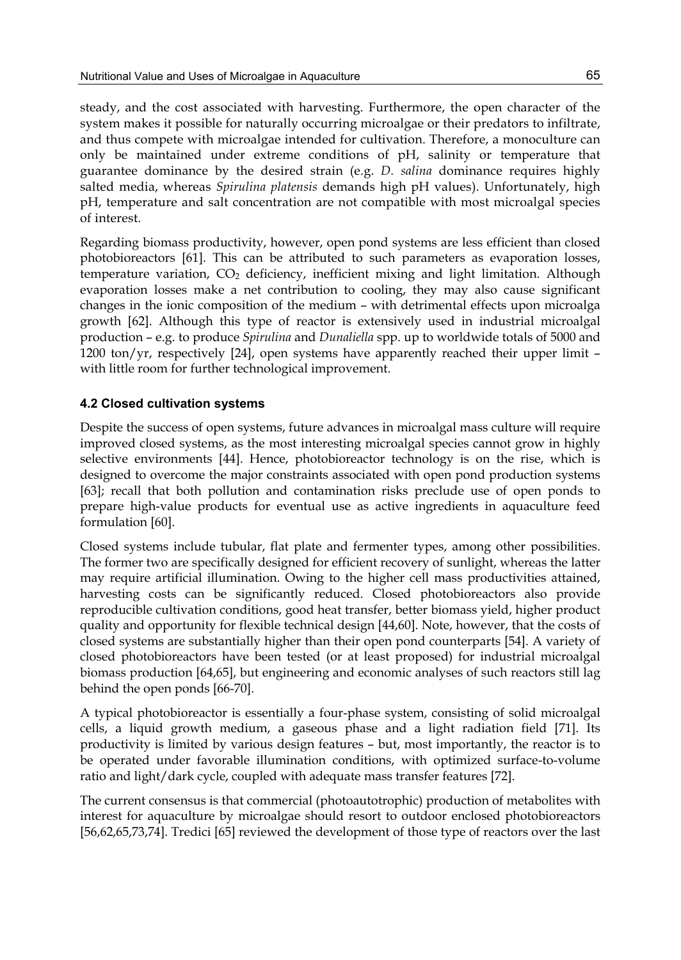steady, and the cost associated with harvesting. Furthermore, the open character of the system makes it possible for naturally occurring microalgae or their predators to infiltrate, and thus compete with microalgae intended for cultivation. Therefore, a monoculture can only be maintained under extreme conditions of pH, salinity or temperature that guarantee dominance by the desired strain (e.g. *D. salina* dominance requires highly salted media, whereas *Spirulina platensis* demands high pH values). Unfortunately, high pH, temperature and salt concentration are not compatible with most microalgal species of interest.

Regarding biomass productivity, however, open pond systems are less efficient than closed photobioreactors [61]. This can be attributed to such parameters as evaporation losses, temperature variation, CO2 deficiency, inefficient mixing and light limitation. Although evaporation losses make a net contribution to cooling, they may also cause significant changes in the ionic composition of the medium – with detrimental effects upon microalga growth [62]. Although this type of reactor is extensively used in industrial microalgal production – e.g. to produce *Spirulina* and *Dunaliella* spp. up to worldwide totals of 5000 and 1200 ton/yr, respectively  $[24]$ , open systems have apparently reached their upper limit – with little room for further technological improvement.

## **4.2 Closed cultivation systems**

Despite the success of open systems, future advances in microalgal mass culture will require improved closed systems, as the most interesting microalgal species cannot grow in highly selective environments [44]. Hence, photobioreactor technology is on the rise, which is designed to overcome the major constraints associated with open pond production systems [63]; recall that both pollution and contamination risks preclude use of open ponds to prepare high-value products for eventual use as active ingredients in aquaculture feed formulation [60].

Closed systems include tubular, flat plate and fermenter types, among other possibilities. The former two are specifically designed for efficient recovery of sunlight, whereas the latter may require artificial illumination. Owing to the higher cell mass productivities attained, harvesting costs can be significantly reduced. Closed photobioreactors also provide reproducible cultivation conditions, good heat transfer, better biomass yield, higher product quality and opportunity for flexible technical design [44,60]. Note, however, that the costs of closed systems are substantially higher than their open pond counterparts [54]. A variety of closed photobioreactors have been tested (or at least proposed) for industrial microalgal biomass production [64,65], but engineering and economic analyses of such reactors still lag behind the open ponds [66-70].

A typical photobioreactor is essentially a four-phase system, consisting of solid microalgal cells, a liquid growth medium, a gaseous phase and a light radiation field [71]. Its productivity is limited by various design features – but, most importantly, the reactor is to be operated under favorable illumination conditions, with optimized surface-to-volume ratio and light/dark cycle, coupled with adequate mass transfer features [72].

The current consensus is that commercial (photoautotrophic) production of metabolites with interest for aquaculture by microalgae should resort to outdoor enclosed photobioreactors [56,62,65,73,74]. Tredici [65] reviewed the development of those type of reactors over the last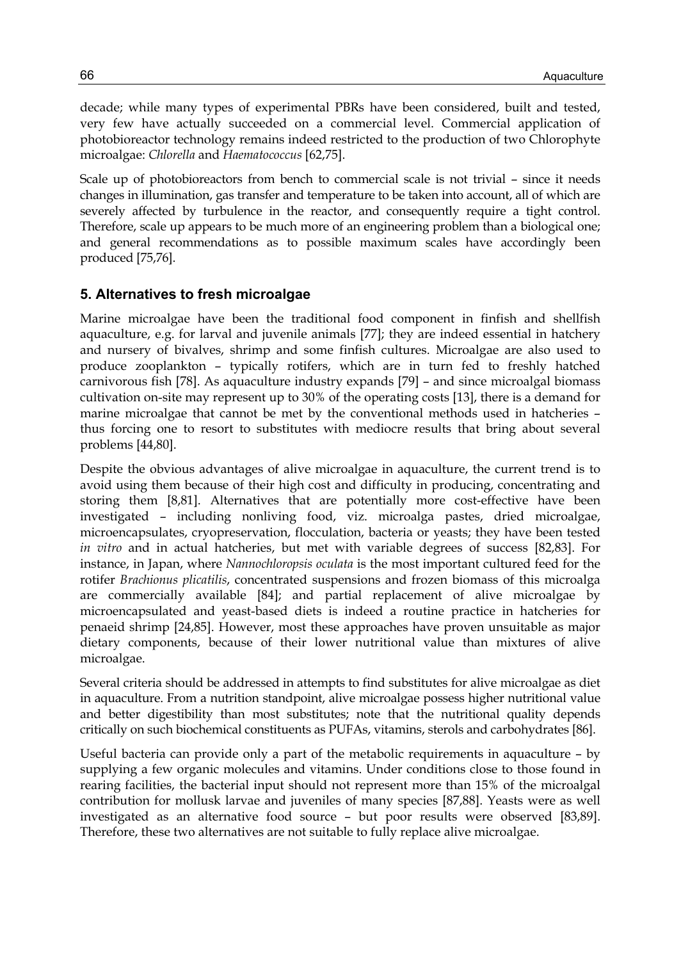decade; while many types of experimental PBRs have been considered, built and tested, very few have actually succeeded on a commercial level. Commercial application of photobioreactor technology remains indeed restricted to the production of two Chlorophyte microalgae: *Chlorella* and *Haematococcus* [62,75].

Scale up of photobioreactors from bench to commercial scale is not trivial – since it needs changes in illumination, gas transfer and temperature to be taken into account, all of which are severely affected by turbulence in the reactor, and consequently require a tight control. Therefore, scale up appears to be much more of an engineering problem than a biological one; and general recommendations as to possible maximum scales have accordingly been produced [75,76].

## **5. Alternatives to fresh microalgae**

Marine microalgae have been the traditional food component in finfish and shellfish aquaculture, e.g. for larval and juvenile animals [77]; they are indeed essential in hatchery and nursery of bivalves, shrimp and some finfish cultures. Microalgae are also used to produce zooplankton – typically rotifers, which are in turn fed to freshly hatched carnivorous fish [78]. As aquaculture industry expands [79] – and since microalgal biomass cultivation on-site may represent up to 30% of the operating costs [13], there is a demand for marine microalgae that cannot be met by the conventional methods used in hatcheries – thus forcing one to resort to substitutes with mediocre results that bring about several problems [44,80].

Despite the obvious advantages of alive microalgae in aquaculture, the current trend is to avoid using them because of their high cost and difficulty in producing, concentrating and storing them [8,81]. Alternatives that are potentially more cost-effective have been investigated – including nonliving food, viz. microalga pastes, dried microalgae, microencapsulates, cryopreservation, flocculation, bacteria or yeasts; they have been tested *in vitro* and in actual hatcheries, but met with variable degrees of success [82,83]. For instance, in Japan, where *Nannochloropsis oculata* is the most important cultured feed for the rotifer *Brachionus plicatilis*, concentrated suspensions and frozen biomass of this microalga are commercially available [84]; and partial replacement of alive microalgae by microencapsulated and yeast-based diets is indeed a routine practice in hatcheries for penaeid shrimp [24,85]. However, most these approaches have proven unsuitable as major dietary components, because of their lower nutritional value than mixtures of alive microalgae.

Several criteria should be addressed in attempts to find substitutes for alive microalgae as diet in aquaculture. From a nutrition standpoint, alive microalgae possess higher nutritional value and better digestibility than most substitutes; note that the nutritional quality depends critically on such biochemical constituents as PUFAs, vitamins, sterols and carbohydrates [86].

Useful bacteria can provide only a part of the metabolic requirements in aquaculture – by supplying a few organic molecules and vitamins. Under conditions close to those found in rearing facilities, the bacterial input should not represent more than 15% of the microalgal contribution for mollusk larvae and juveniles of many species [87,88]. Yeasts were as well investigated as an alternative food source – but poor results were observed [83,89]. Therefore, these two alternatives are not suitable to fully replace alive microalgae.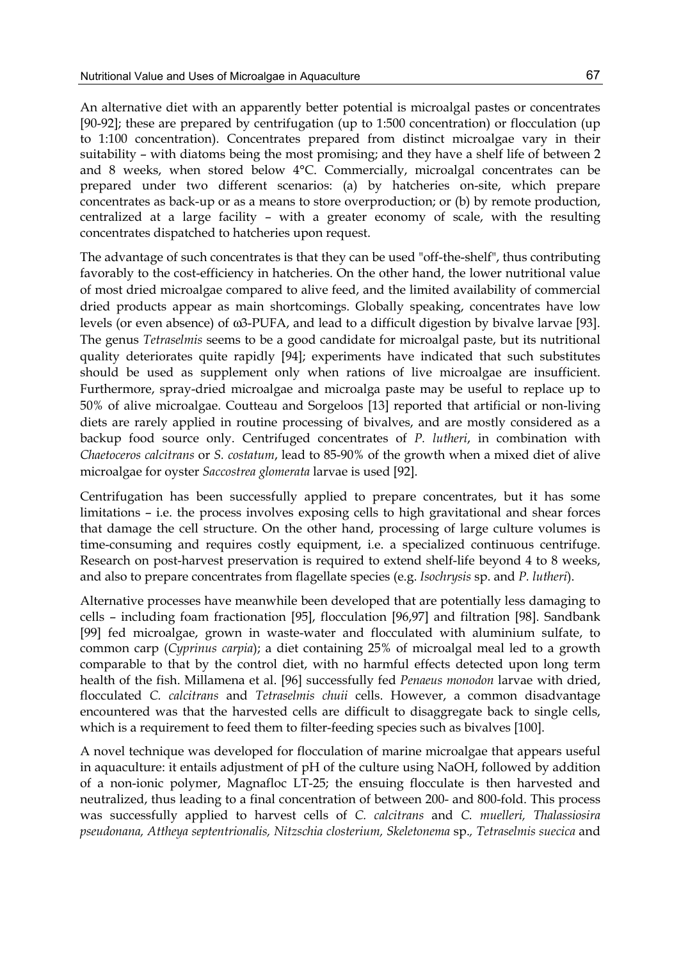An alternative diet with an apparently better potential is microalgal pastes or concentrates [90-92]; these are prepared by centrifugation (up to 1:500 concentration) or flocculation (up to 1:100 concentration). Concentrates prepared from distinct microalgae vary in their suitability – with diatoms being the most promising; and they have a shelf life of between 2 and 8 weeks, when stored below 4°C. Commercially, microalgal concentrates can be prepared under two different scenarios: (a) by hatcheries on-site, which prepare concentrates as back-up or as a means to store overproduction; or (b) by remote production, centralized at a large facility – with a greater economy of scale, with the resulting concentrates dispatched to hatcheries upon request.

The advantage of such concentrates is that they can be used "off-the-shelf", thus contributing favorably to the cost-efficiency in hatcheries. On the other hand, the lower nutritional value of most dried microalgae compared to alive feed, and the limited availability of commercial dried products appear as main shortcomings. Globally speaking, concentrates have low levels (or even absence) of ω3-PUFA, and lead to a difficult digestion by bivalve larvae [93]. The genus *Tetraselmis* seems to be a good candidate for microalgal paste, but its nutritional quality deteriorates quite rapidly [94]; experiments have indicated that such substitutes should be used as supplement only when rations of live microalgae are insufficient. Furthermore, spray-dried microalgae and microalga paste may be useful to replace up to 50% of alive microalgae. Coutteau and Sorgeloos [13] reported that artificial or non-living diets are rarely applied in routine processing of bivalves, and are mostly considered as a backup food source only. Centrifuged concentrates of *P. lutheri*, in combination with *Chaetoceros calcitrans* or *S. costatum*, lead to 85-90% of the growth when a mixed diet of alive microalgae for oyster *Saccostrea glomerata* larvae is used [92].

Centrifugation has been successfully applied to prepare concentrates, but it has some limitations – i.e. the process involves exposing cells to high gravitational and shear forces that damage the cell structure. On the other hand, processing of large culture volumes is time-consuming and requires costly equipment, i.e. a specialized continuous centrifuge. Research on post-harvest preservation is required to extend shelf-life beyond 4 to 8 weeks, and also to prepare concentrates from flagellate species (e.g. *Isochrysis* sp. and *P. lutheri*).

Alternative processes have meanwhile been developed that are potentially less damaging to cells – including foam fractionation [95], flocculation [96,97] and filtration [98]. Sandbank [99] fed microalgae, grown in waste-water and flocculated with aluminium sulfate, to common carp (*Cyprinus carpia*); a diet containing 25% of microalgal meal led to a growth comparable to that by the control diet, with no harmful effects detected upon long term health of the fish. Millamena et al. [96] successfully fed *Penaeus monodon* larvae with dried, flocculated *C. calcitrans* and *Tetraselmis chuii* cells. However, a common disadvantage encountered was that the harvested cells are difficult to disaggregate back to single cells, which is a requirement to feed them to filter-feeding species such as bivalves [100].

A novel technique was developed for flocculation of marine microalgae that appears useful in aquaculture: it entails adjustment of pH of the culture using NaOH, followed by addition of a non-ionic polymer, Magnafloc LT-25; the ensuing flocculate is then harvested and neutralized, thus leading to a final concentration of between 200- and 800-fold. This process was successfully applied to harvest cells of *C. calcitrans* and *C. muelleri, Thalassiosira pseudonana, Attheya septentrionalis, Nitzschia closterium, Skeletonema* sp.*, Tetraselmis suecica* and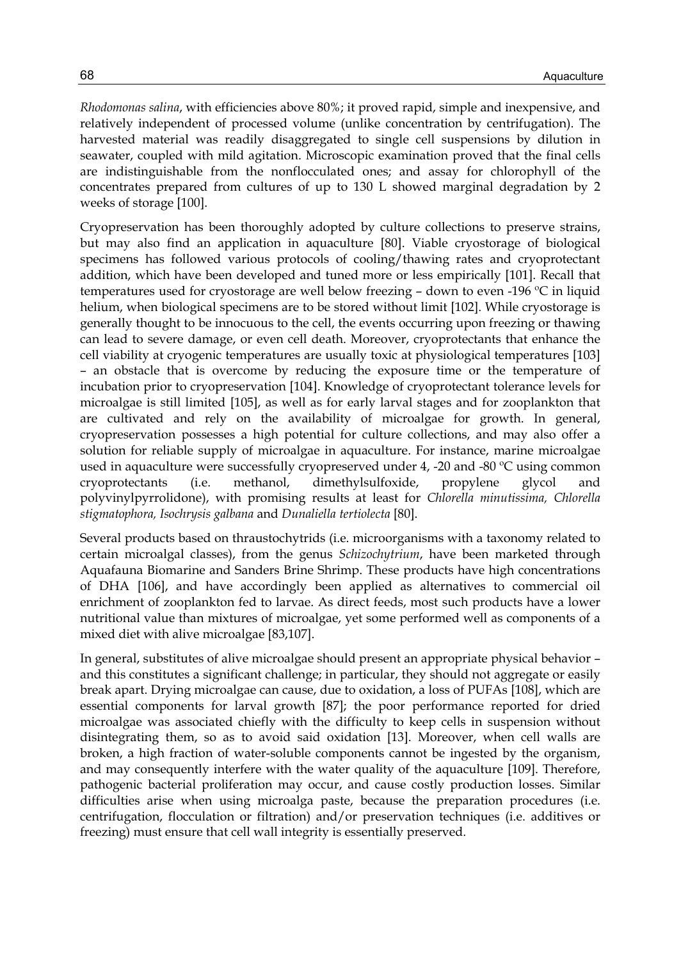*Rhodomonas salina*, with efficiencies above 80%; it proved rapid, simple and inexpensive, and relatively independent of processed volume (unlike concentration by centrifugation). The harvested material was readily disaggregated to single cell suspensions by dilution in seawater, coupled with mild agitation. Microscopic examination proved that the final cells are indistinguishable from the nonflocculated ones; and assay for chlorophyll of the concentrates prepared from cultures of up to 130 L showed marginal degradation by 2 weeks of storage [100].

Cryopreservation has been thoroughly adopted by culture collections to preserve strains, but may also find an application in aquaculture [80]. Viable cryostorage of biological specimens has followed various protocols of cooling/thawing rates and cryoprotectant addition, which have been developed and tuned more or less empirically [101]. Recall that temperatures used for cryostorage are well below freezing – down to even -196 ºC in liquid helium, when biological specimens are to be stored without limit [102]. While cryostorage is generally thought to be innocuous to the cell, the events occurring upon freezing or thawing can lead to severe damage, or even cell death. Moreover, cryoprotectants that enhance the cell viability at cryogenic temperatures are usually toxic at physiological temperatures [103] – an obstacle that is overcome by reducing the exposure time or the temperature of incubation prior to cryopreservation [104]. Knowledge of cryoprotectant tolerance levels for microalgae is still limited [105], as well as for early larval stages and for zooplankton that are cultivated and rely on the availability of microalgae for growth. In general, cryopreservation possesses a high potential for culture collections, and may also offer a solution for reliable supply of microalgae in aquaculture. For instance, marine microalgae used in aquaculture were successfully cryopreserved under  $4$ ,  $-20$  and  $-80$  °C using common cryoprotectants (i.e. methanol, dimethylsulfoxide, propylene glycol and polyvinylpyrrolidone), with promising results at least for *Chlorella minutissima, Chlorella stigmatophora, Isochrysis galbana* and *Dunaliella tertiolecta* [80].

Several products based on thraustochytrids (i.e. microorganisms with a taxonomy related to certain microalgal classes), from the genus *Schizochytrium*, have been marketed through Aquafauna Biomarine and Sanders Brine Shrimp. These products have high concentrations of DHA [106], and have accordingly been applied as alternatives to commercial oil enrichment of zooplankton fed to larvae. As direct feeds, most such products have a lower nutritional value than mixtures of microalgae, yet some performed well as components of a mixed diet with alive microalgae [83,107].

In general, substitutes of alive microalgae should present an appropriate physical behavior – and this constitutes a significant challenge; in particular, they should not aggregate or easily break apart. Drying microalgae can cause, due to oxidation, a loss of PUFAs [108], which are essential components for larval growth [87]; the poor performance reported for dried microalgae was associated chiefly with the difficulty to keep cells in suspension without disintegrating them, so as to avoid said oxidation [13]. Moreover, when cell walls are broken, a high fraction of water-soluble components cannot be ingested by the organism, and may consequently interfere with the water quality of the aquaculture [109]. Therefore, pathogenic bacterial proliferation may occur, and cause costly production losses. Similar difficulties arise when using microalga paste, because the preparation procedures (i.e. centrifugation, flocculation or filtration) and/or preservation techniques (i.e. additives or freezing) must ensure that cell wall integrity is essentially preserved.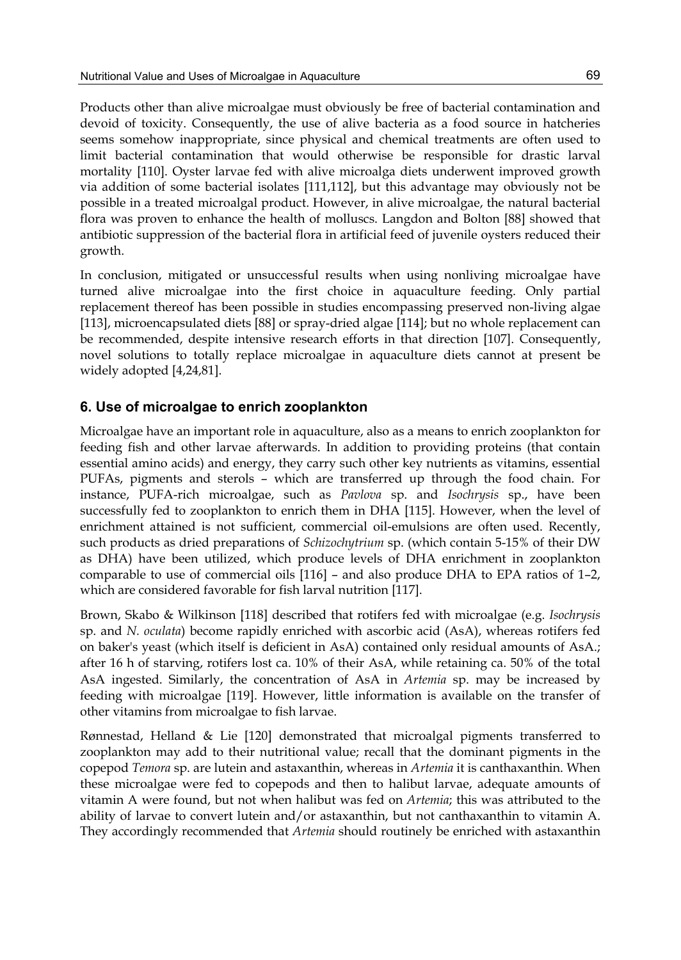Products other than alive microalgae must obviously be free of bacterial contamination and devoid of toxicity. Consequently, the use of alive bacteria as a food source in hatcheries seems somehow inappropriate, since physical and chemical treatments are often used to limit bacterial contamination that would otherwise be responsible for drastic larval mortality [110]. Oyster larvae fed with alive microalga diets underwent improved growth via addition of some bacterial isolates [111,112], but this advantage may obviously not be possible in a treated microalgal product. However, in alive microalgae, the natural bacterial flora was proven to enhance the health of molluscs. Langdon and Bolton [88] showed that antibiotic suppression of the bacterial flora in artificial feed of juvenile oysters reduced their growth.

In conclusion, mitigated or unsuccessful results when using nonliving microalgae have turned alive microalgae into the first choice in aquaculture feeding. Only partial replacement thereof has been possible in studies encompassing preserved non-living algae [113], microencapsulated diets [88] or spray-dried algae [114]; but no whole replacement can be recommended, despite intensive research efforts in that direction [107]. Consequently, novel solutions to totally replace microalgae in aquaculture diets cannot at present be widely adopted [4,24,81].

## **6. Use of microalgae to enrich zooplankton**

Microalgae have an important role in aquaculture, also as a means to enrich zooplankton for feeding fish and other larvae afterwards. In addition to providing proteins (that contain essential amino acids) and energy, they carry such other key nutrients as vitamins, essential PUFAs, pigments and sterols – which are transferred up through the food chain. For instance, PUFA-rich microalgae, such as *Pavlova* sp. and *Isochrysis* sp., have been successfully fed to zooplankton to enrich them in DHA [115]. However, when the level of enrichment attained is not sufficient, commercial oil-emulsions are often used. Recently, such products as dried preparations of *Schizochytrium* sp. (which contain 5-15% of their DW as DHA) have been utilized, which produce levels of DHA enrichment in zooplankton comparable to use of commercial oils [116] – and also produce DHA to EPA ratios of 1–2, which are considered favorable for fish larval nutrition [117].

Brown, Skabo & Wilkinson [118] described that rotifers fed with microalgae (e.g. *Isochrysis*  sp. and *N. oculata*) become rapidly enriched with ascorbic acid (AsA), whereas rotifers fed on baker's yeast (which itself is deficient in AsA) contained only residual amounts of AsA.; after 16 h of starving, rotifers lost ca. 10% of their AsA, while retaining ca. 50% of the total AsA ingested. Similarly, the concentration of AsA in *Artemia* sp. may be increased by feeding with microalgae [119]. However, little information is available on the transfer of other vitamins from microalgae to fish larvae.

Rønnestad, Helland & Lie [120] demonstrated that microalgal pigments transferred to zooplankton may add to their nutritional value; recall that the dominant pigments in the copepod *Temora* sp. are lutein and astaxanthin, whereas in *Artemia* it is canthaxanthin. When these microalgae were fed to copepods and then to halibut larvae, adequate amounts of vitamin A were found, but not when halibut was fed on *Artemia*; this was attributed to the ability of larvae to convert lutein and/or astaxanthin, but not canthaxanthin to vitamin A. They accordingly recommended that *Artemia* should routinely be enriched with astaxanthin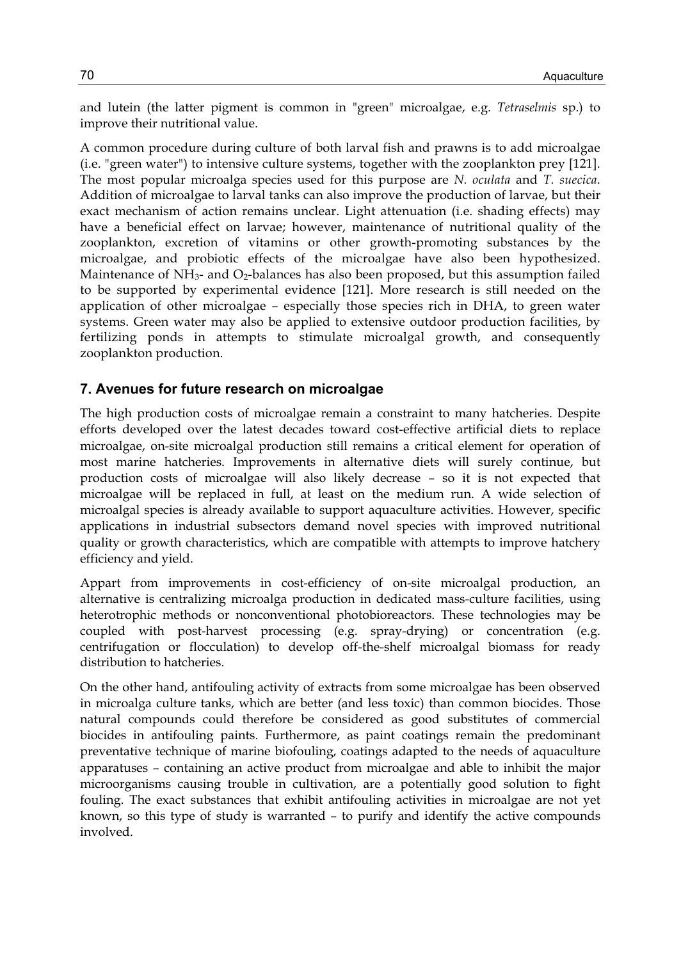and lutein (the latter pigment is common in "green" microalgae, e.g. *Tetraselmis* sp.) to improve their nutritional value.

A common procedure during culture of both larval fish and prawns is to add microalgae (i.e. "green water") to intensive culture systems, together with the zooplankton prey [121]. The most popular microalga species used for this purpose are *N. oculata* and *T. suecica*. Addition of microalgae to larval tanks can also improve the production of larvae, but their exact mechanism of action remains unclear. Light attenuation (i.e. shading effects) may have a beneficial effect on larvae; however, maintenance of nutritional quality of the zooplankton, excretion of vitamins or other growth-promoting substances by the microalgae, and probiotic effects of the microalgae have also been hypothesized. Maintenance of  $NH_3$ - and  $O_2$ -balances has also been proposed, but this assumption failed to be supported by experimental evidence [121]. More research is still needed on the application of other microalgae – especially those species rich in DHA, to green water systems. Green water may also be applied to extensive outdoor production facilities, by fertilizing ponds in attempts to stimulate microalgal growth, and consequently zooplankton production.

## **7. Avenues for future research on microalgae**

The high production costs of microalgae remain a constraint to many hatcheries. Despite efforts developed over the latest decades toward cost-effective artificial diets to replace microalgae, on-site microalgal production still remains a critical element for operation of most marine hatcheries. Improvements in alternative diets will surely continue, but production costs of microalgae will also likely decrease – so it is not expected that microalgae will be replaced in full, at least on the medium run. A wide selection of microalgal species is already available to support aquaculture activities. However, specific applications in industrial subsectors demand novel species with improved nutritional quality or growth characteristics, which are compatible with attempts to improve hatchery efficiency and yield.

Appart from improvements in cost-efficiency of on-site microalgal production, an alternative is centralizing microalga production in dedicated mass-culture facilities, using heterotrophic methods or nonconventional photobioreactors. These technologies may be coupled with post-harvest processing (e.g. spray-drying) or concentration (e.g. centrifugation or flocculation) to develop off-the-shelf microalgal biomass for ready distribution to hatcheries.

On the other hand, antifouling activity of extracts from some microalgae has been observed in microalga culture tanks, which are better (and less toxic) than common biocides. Those natural compounds could therefore be considered as good substitutes of commercial biocides in antifouling paints. Furthermore, as paint coatings remain the predominant preventative technique of marine biofouling, coatings adapted to the needs of aquaculture apparatuses – containing an active product from microalgae and able to inhibit the major microorganisms causing trouble in cultivation, are a potentially good solution to fight fouling. The exact substances that exhibit antifouling activities in microalgae are not yet known, so this type of study is warranted – to purify and identify the active compounds involved.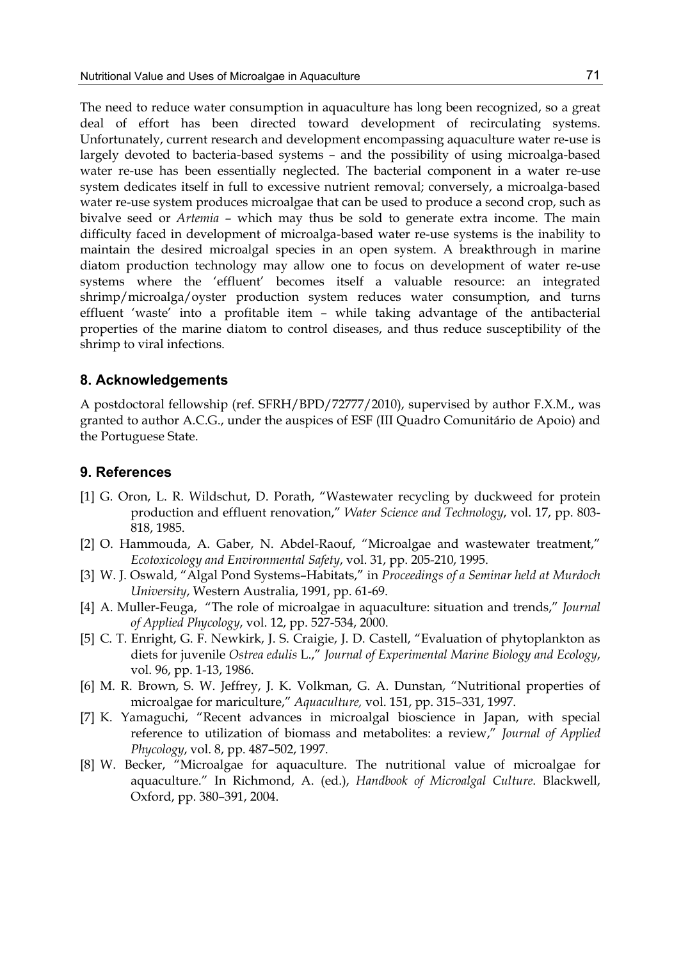The need to reduce water consumption in aquaculture has long been recognized, so a great deal of effort has been directed toward development of recirculating systems. Unfortunately, current research and development encompassing aquaculture water re-use is largely devoted to bacteria-based systems – and the possibility of using microalga-based water re-use has been essentially neglected. The bacterial component in a water re-use system dedicates itself in full to excessive nutrient removal; conversely, a microalga-based water re-use system produces microalgae that can be used to produce a second crop, such as bivalve seed or *Artemia* – which may thus be sold to generate extra income. The main difficulty faced in development of microalga-based water re-use systems is the inability to maintain the desired microalgal species in an open system. A breakthrough in marine diatom production technology may allow one to focus on development of water re-use systems where the 'effluent' becomes itself a valuable resource: an integrated shrimp/microalga/oyster production system reduces water consumption, and turns effluent 'waste' into a profitable item – while taking advantage of the antibacterial properties of the marine diatom to control diseases, and thus reduce susceptibility of the shrimp to viral infections.

#### **8. Acknowledgements**

A postdoctoral fellowship (ref. SFRH/BPD/72777/2010), supervised by author F.X.M., was granted to author A.C.G., under the auspices of ESF (III Quadro Comunitário de Apoio) and the Portuguese State.

#### **9. References**

- [1] G. Oron, L. R. Wildschut, D. Porath, "Wastewater recycling by duckweed for protein production and effluent renovation," *Water Science and Technology*, vol. 17, pp. 803- 818, 1985.
- [2] O. Hammouda, A. Gaber, N. Abdel-Raouf, "Microalgae and wastewater treatment," *Ecotoxicology and Environmental Safety*, vol. 31, pp. 205-210, 1995.
- [3] W. J. Oswald, "Algal Pond Systems–Habitats," in *Proceedings of a Seminar held at Murdoch University*, Western Australia, 1991, pp. 61-69.
- [4] A. Muller-Feuga, "The role of microalgae in aquaculture: situation and trends," *Journal of Applied Phycology*, vol. 12, pp. 527-534, 2000.
- [5] C. T. Enright, G. F. Newkirk, J. S. Craigie, J. D. Castell, "Evaluation of phytoplankton as diets for juvenile *Ostrea edulis* L.," *Journal of Experimental Marine Biology and Ecology*, vol. 96, pp. 1-13, 1986.
- [6] M. R. Brown, S. W. Jeffrey, J. K. Volkman, G. A. Dunstan, "Nutritional properties of microalgae for mariculture," *Aquaculture,* vol. 151, pp. 315–331, 1997.
- [7] K. Yamaguchi, "Recent advances in microalgal bioscience in Japan, with special reference to utilization of biomass and metabolites: a review," *Journal of Applied Phycology*, vol. 8, pp. 487–502, 1997.
- [8] W. Becker, "Microalgae for aquaculture. The nutritional value of microalgae for aquaculture." In Richmond, A. (ed.), *Handbook of Microalgal Culture*. Blackwell, Oxford, pp. 380–391, 2004.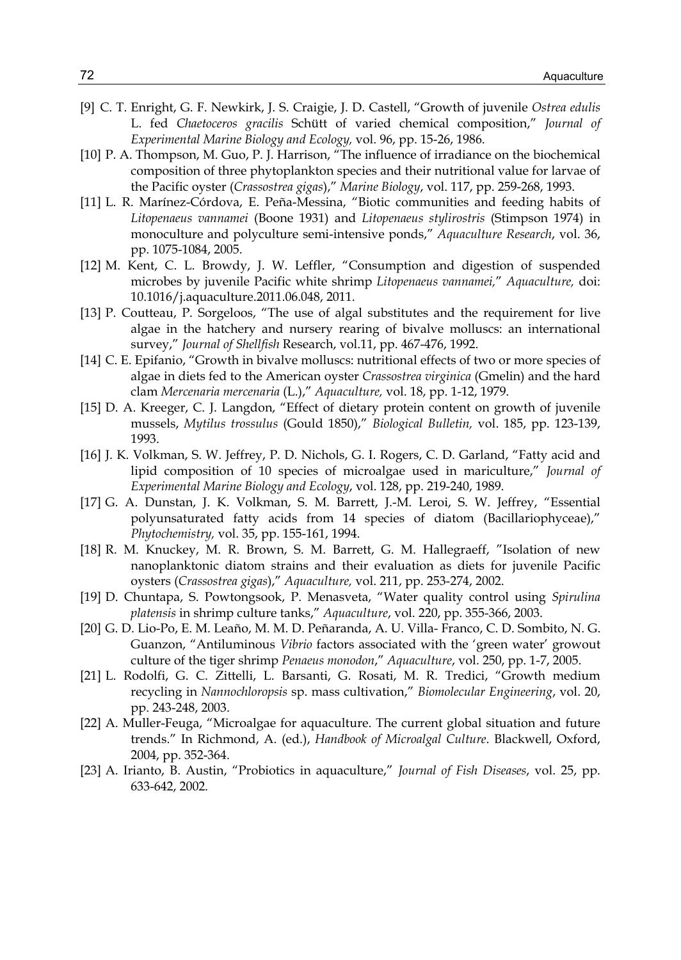- [9] C. T. Enright, G. F. Newkirk, J. S. Craigie, J. D. Castell, "Growth of juvenile *Ostrea edulis* L. fed *Chaetoceros gracilis* Schütt of varied chemical composition," *Journal of Experimental Marine Biology and Ecology,* vol. 96, pp. 15-26, 1986.
- [10] P. A. Thompson, M. Guo, P. J. Harrison, "The influence of irradiance on the biochemical composition of three phytoplankton species and their nutritional value for larvae of the Pacific oyster (*Crassostrea gigas*)," *Marine Biology*, vol. 117, pp. 259-268, 1993.
- [11] L. R. Marínez-Córdova, E. Peña-Messina, "Biotic communities and feeding habits of *Litopenaeus vannamei* (Boone 1931) and *Litopenaeus stylirostris* (Stimpson 1974) in monoculture and polyculture semi-intensive ponds," *Aquaculture Research*, vol. 36, pp. 1075-1084, 2005.
- [12] M. Kent, C. L. Browdy, J. W. Leffler, "Consumption and digestion of suspended microbes by juvenile Pacific white shrimp *Litopenaeus vannamei,*" *Aquaculture,* doi: 10.1016/j.aquaculture.2011.06.048, 2011.
- [13] P. Coutteau, P. Sorgeloos, "The use of algal substitutes and the requirement for live algae in the hatchery and nursery rearing of bivalve molluscs: an international survey," *Journal of Shellfish* Research, vol.11, pp. 467-476, 1992.
- [14] C. E. Epifanio, "Growth in bivalve molluscs: nutritional effects of two or more species of algae in diets fed to the American oyster *Crassostrea virginica* (Gmelin) and the hard clam *Mercenaria mercenaria* (L.)," *Aquaculture,* vol. 18, pp. 1-12, 1979.
- [15] D. A. Kreeger, C. J. Langdon, "Effect of dietary protein content on growth of juvenile mussels, *Mytilus trossulus* (Gould 1850)," *Biological Bulletin,* vol. 185, pp. 123-139, 1993.
- [16] J. K. Volkman, S. W. Jeffrey, P. D. Nichols, G. I. Rogers, C. D. Garland, "Fatty acid and lipid composition of 10 species of microalgae used in mariculture," *Journal of Experimental Marine Biology and Ecology*, vol. 128, pp. 219-240, 1989.
- [17] G. A. Dunstan, J. K. Volkman, S. M. Barrett, J.-M. Leroi, S. W. Jeffrey, "Essential polyunsaturated fatty acids from 14 species of diatom (Bacillariophyceae)," *Phytochemistry,* vol. 35, pp. 155-161, 1994.
- [18] R. M. Knuckey, M. R. Brown, S. M. Barrett, G. M. Hallegraeff, "Isolation of new nanoplanktonic diatom strains and their evaluation as diets for juvenile Pacific oysters (*Crassostrea gigas*)," *Aquaculture,* vol. 211, pp. 253-274, 2002.
- [19] D. Chuntapa, S. Powtongsook, P. Menasveta, "Water quality control using *Spirulina platensis* in shrimp culture tanks," *Aquaculture*, vol. 220, pp. 355-366, 2003.
- [20] G. D. Lio-Po, E. M. Leaño, M. M. D. Peñaranda, A. U. Villa- Franco, C. D. Sombito, N. G. Guanzon, "Antiluminous *Vibrio* factors associated with the 'green water' growout culture of the tiger shrimp *Penaeus monodon*," *Aquaculture*, vol. 250, pp. 1-7, 2005.
- [21] L. Rodolfi, G. C. Zittelli, L. Barsanti, G. Rosati, M. R. Tredici, "Growth medium recycling in *Nannochloropsis* sp. mass cultivation," *Biomolecular Engineering*, vol. 20, pp. 243-248, 2003.
- [22] A. Muller-Feuga, "Microalgae for aquaculture. The current global situation and future trends." In Richmond, A. (ed.), *Handbook of Microalgal Culture*. Blackwell, Oxford, 2004, pp. 352-364.
- [23] A. Irianto, B. Austin, "Probiotics in aquaculture," *Journal of Fish Diseases*, vol. 25, pp. 633-642, 2002.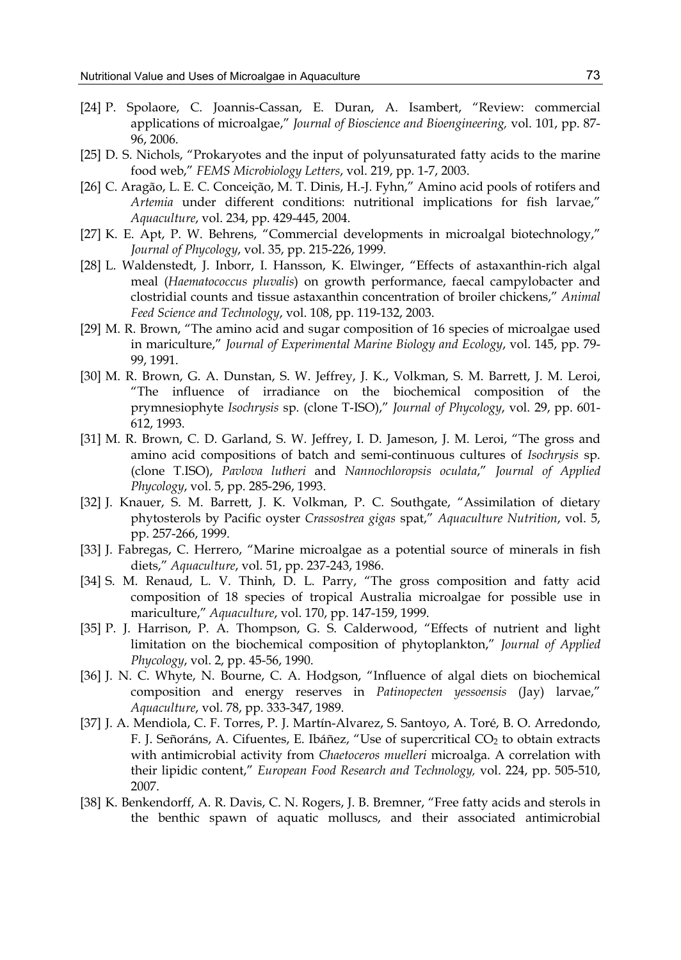- [24] P. Spolaore, C. Joannis-Cassan, E. Duran, A. Isambert, "Review: commercial applications of microalgae," *Journal of Bioscience and Bioengineering,* vol. 101, pp. 87- 96, 2006.
- [25] D. S. Nichols, "Prokaryotes and the input of polyunsaturated fatty acids to the marine food web," *FEMS Microbiology Letters*, vol. 219, pp. 1-7, 2003.
- [26] C. Aragão, L. E. C. Conceição, M. T. Dinis, H.-J. Fyhn," Amino acid pools of rotifers and *Artemia* under different conditions: nutritional implications for fish larvae," *Aquaculture*, vol. 234, pp. 429-445, 2004.
- [27] K. E. Apt, P. W. Behrens, "Commercial developments in microalgal biotechnology," *Journal of Phycology*, vol. 35, pp. 215-226, 1999.
- [28] L. Waldenstedt, J. Inborr, I. Hansson, K. Elwinger, "Effects of astaxanthin-rich algal meal (*Haematococcus pluvalis*) on growth performance, faecal campylobacter and clostridial counts and tissue astaxanthin concentration of broiler chickens," *Animal Feed Science and Technology*, vol. 108, pp. 119-132, 2003.
- [29] M. R. Brown, "The amino acid and sugar composition of 16 species of microalgae used in mariculture," *Journal of Experimental Marine Biology and Ecology*, vol. 145, pp. 79- 99, 1991.
- [30] M. R. Brown, G. A. Dunstan, S. W. Jeffrey, J. K., Volkman, S. M. Barrett, J. M. Leroi, "The influence of irradiance on the biochemical composition of the prymnesiophyte *Isochrysis* sp. (clone T-ISO)," *Journal of Phycology*, vol. 29, pp. 601- 612, 1993.
- [31] M. R. Brown, C. D. Garland, S. W. Jeffrey, I. D. Jameson, J. M. Leroi, "The gross and amino acid compositions of batch and semi-continuous cultures of *Isochrysis* sp. (clone T.ISO), *Pavlova lutheri* and *Nannochloropsis oculata*," *Journal of Applied Phycology*, vol. 5, pp. 285-296, 1993.
- [32] J. Knauer, S. M. Barrett, J. K. Volkman, P. C. Southgate, "Assimilation of dietary phytosterols by Pacific oyster *Crassostrea gigas* spat," *Aquaculture Nutrition*, vol. 5, pp. 257-266, 1999.
- [33] J. Fabregas, C. Herrero, "Marine microalgae as a potential source of minerals in fish diets," *Aquaculture*, vol. 51, pp. 237-243, 1986.
- [34] S. M. Renaud, L. V. Thinh, D. L. Parry, "The gross composition and fatty acid composition of 18 species of tropical Australia microalgae for possible use in mariculture," *Aquaculture*, vol. 170, pp. 147-159, 1999.
- [35] P. J. Harrison, P. A. Thompson, G. S. Calderwood, "Effects of nutrient and light limitation on the biochemical composition of phytoplankton," *Journal of Applied Phycology*, vol. 2, pp. 45-56, 1990.
- [36] J. N. C. Whyte, N. Bourne, C. A. Hodgson, "Influence of algal diets on biochemical composition and energy reserves in *Patinopecten yessoensis* (Jay) larvae," *Aquaculture*, vol. 78, pp. 333-347, 1989.
- [37] J. A. Mendiola, C. F. Torres, P. J. Martín-Alvarez, S. Santoyo, A. Toré, B. O. Arredondo, F. J. Señoráns, A. Cifuentes, E. Ibáñez, "Use of supercritical CO<sub>2</sub> to obtain extracts with antimicrobial activity from *Chaetoceros muelleri* microalga. A correlation with their lipidic content," *European Food Research and Technology,* vol. 224, pp. 505-510, 2007.
- [38] K. Benkendorff, A. R. Davis, C. N. Rogers, J. B. Bremner, "Free fatty acids and sterols in the benthic spawn of aquatic molluscs, and their associated antimicrobial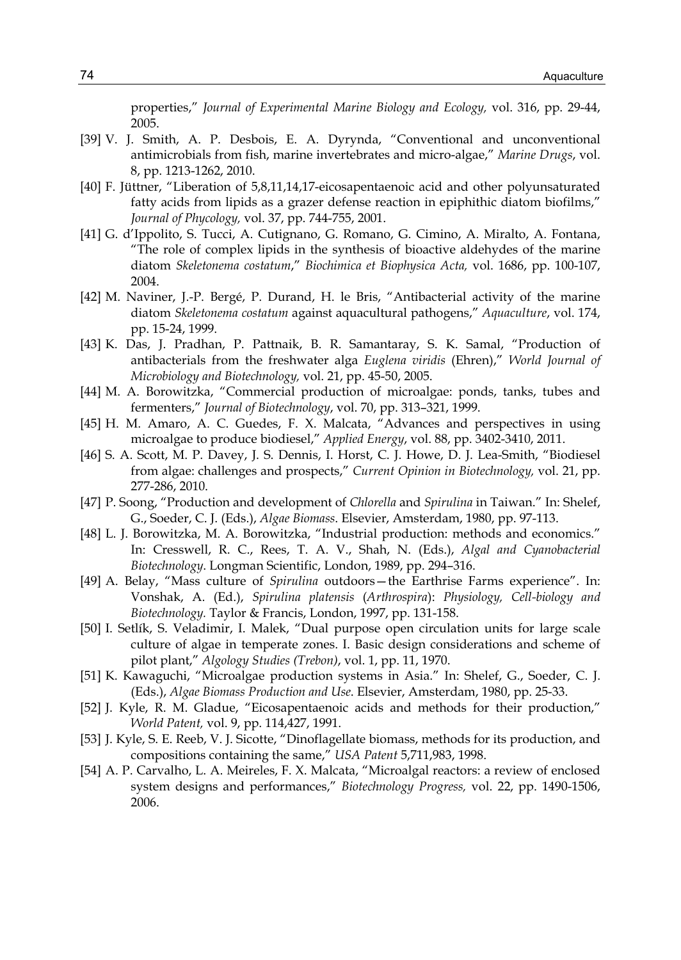properties," *Journal of Experimental Marine Biology and Ecology,* vol. 316, pp. 29-44, 2005.

- [39] V. J. Smith, A. P. Desbois, E. A. Dyrynda, "Conventional and unconventional antimicrobials from fish, marine invertebrates and micro-algae," *Marine Drugs*, vol. 8, pp. 1213-1262, 2010.
- [40] F. Jüttner, "Liberation of 5,8,11,14,17-eicosapentaenoic acid and other polyunsaturated fatty acids from lipids as a grazer defense reaction in epiphithic diatom biofilms," *Journal of Phycology,* vol. 37, pp. 744-755, 2001.
- [41] G. d'Ippolito, S. Tucci, A. Cutignano, G. Romano, G. Cimino, A. Miralto, A. Fontana, "The role of complex lipids in the synthesis of bioactive aldehydes of the marine diatom *Skeletonema costatum*," *Biochimica et Biophysica Acta,* vol. 1686, pp. 100-107, 2004.
- [42] M. Naviner, J.-P. Bergé, P. Durand, H. le Bris, "Antibacterial activity of the marine diatom *Skeletonema costatum* against aquacultural pathogens," *Aquaculture*, vol. 174, pp. 15-24, 1999.
- [43] K. Das, J. Pradhan, P. Pattnaik, B. R. Samantaray, S. K. Samal, "Production of antibacterials from the freshwater alga *Euglena viridis* (Ehren)," *World Journal of Microbiology and Biotechnology,* vol. 21, pp. 45-50, 2005.
- [44] M. A. Borowitzka, "Commercial production of microalgae: ponds, tanks, tubes and fermenters," *Journal of Biotechnology*, vol. 70, pp. 313–321, 1999.
- [45] H. M. Amaro, A. C. Guedes, F. X. Malcata, "Advances and perspectives in using microalgae to produce biodiesel," *Applied Energy*, vol. 88, pp. 3402-3410, 2011.
- [46] S. A. Scott, M. P. Davey, J. S. Dennis, I. Horst, C. J. Howe, D. J. Lea-Smith, "Biodiesel from algae: challenges and prospects," *Current Opinion in Biotechnology,* vol. 21, pp. 277-286, 2010.
- [47] P. Soong, "Production and development of *Chlorella* and *Spirulina* in Taiwan." In: Shelef, G., Soeder, C. J. (Eds.), *Algae Biomass*. Elsevier, Amsterdam, 1980, pp. 97-113.
- [48] L. J. Borowitzka, M. A. Borowitzka, "Industrial production: methods and economics." In: Cresswell, R. C., Rees, T. A. V., Shah, N. (Eds.), *Algal and Cyanobacterial Biotechnology*. Longman Scientific, London, 1989, pp. 294–316.
- [49] A. Belay, "Mass culture of *Spirulina* outdoors—the Earthrise Farms experience". In: Vonshak, A. (Ed.), *Spirulina platensis* (*Arthrospira*): *Physiology, Cell-biology and Biotechnology.* Taylor & Francis, London, 1997, pp. 131-158.
- [50] I. Setlík, S. Veladimir, I. Malek, "Dual purpose open circulation units for large scale culture of algae in temperate zones. I. Basic design considerations and scheme of pilot plant," *Algology Studies (Trebon)*, vol. 1, pp. 11, 1970.
- [51] K. Kawaguchi, "Microalgae production systems in Asia." In: Shelef, G., Soeder, C. J. (Eds.), *Algae Biomass Production and Use*. Elsevier, Amsterdam, 1980, pp. 25-33.
- [52] J. Kyle, R. M. Gladue, "Eicosapentaenoic acids and methods for their production," *World Patent,* vol. 9, pp. 114,427, 1991.
- [53] J. Kyle, S. E. Reeb, V. J. Sicotte, "Dinoflagellate biomass, methods for its production, and compositions containing the same," *USA Patent* 5,711,983, 1998.
- [54] A. P. Carvalho, L. A. Meireles, F. X. Malcata, "Microalgal reactors: a review of enclosed system designs and performances," *Biotechnology Progress,* vol. 22, pp. 1490-1506, 2006.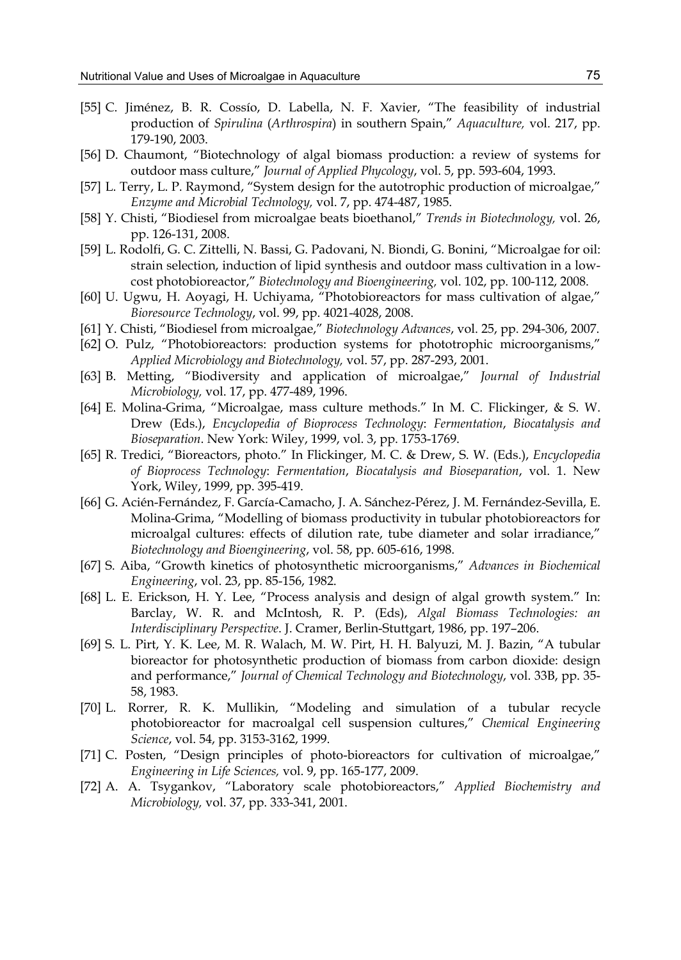- [55] C. Jiménez, B. R. Cossío, D. Labella, N. F. Xavier, "The feasibility of industrial production of *Spirulina* (*Arthrospira*) in southern Spain," *Aquaculture,* vol. 217, pp. 179-190, 2003.
- [56] D. Chaumont, "Biotechnology of algal biomass production: a review of systems for outdoor mass culture," *Journal of Applied Phycology*, vol. 5, pp. 593-604, 1993.
- [57] L. Terry, L. P. Raymond, "System design for the autotrophic production of microalgae," *Enzyme and Microbial Technology,* vol. 7, pp. 474-487, 1985.
- [58] Y. Chisti, "Biodiesel from microalgae beats bioethanol," *Trends in Biotechnology,* vol. 26, pp. 126-131, 2008.
- [59] L. Rodolfi, G. C. Zittelli, N. Bassi, G. Padovani, N. Biondi, G. Bonini, "Microalgae for oil: strain selection, induction of lipid synthesis and outdoor mass cultivation in a lowcost photobioreactor," *Biotechnology and Bioengineering,* vol. 102, pp. 100-112, 2008.
- [60] U. Ugwu, H. Aoyagi, H. Uchiyama, "Photobioreactors for mass cultivation of algae," *Bioresource Technology*, vol. 99, pp. 4021-4028, 2008.
- [61] Y. Chisti, "Biodiesel from microalgae," *Biotechnology Advances*, vol. 25, pp. 294-306, 2007.
- [62] O. Pulz, "Photobioreactors: production systems for phototrophic microorganisms," *Applied Microbiology and Biotechnology,* vol. 57, pp. 287-293, 2001.
- [63] B. Metting, "Biodiversity and application of microalgae," *Journal of Industrial Microbiology,* vol. 17, pp. 477-489, 1996.
- [64] E. Molina-Grima, "Microalgae, mass culture methods." In M. C. Flickinger, & S. W. Drew (Eds.), *Encyclopedia of Bioprocess Technology*: *Fermentation*, *Biocatalysis and Bioseparation*. New York: Wiley, 1999, vol. 3, pp. 1753-1769.
- [65] R. Tredici, "Bioreactors, photo." In Flickinger, M. C. & Drew, S. W. (Eds.), *Encyclopedia of Bioprocess Technology*: *Fermentation*, *Biocatalysis and Bioseparation*, vol. 1. New York, Wiley, 1999, pp. 395-419.
- [66] G. Acién-Fernández, F. García-Camacho, J. A. Sánchez-Pérez, J. M. Fernández-Sevilla, E. Molina-Grima, "Modelling of biomass productivity in tubular photobioreactors for microalgal cultures: effects of dilution rate, tube diameter and solar irradiance," *Biotechnology and Bioengineering*, vol. 58, pp. 605-616, 1998.
- [67] S. Aiba, "Growth kinetics of photosynthetic microorganisms," *Advances in Biochemical Engineering*, vol. 23, pp. 85-156, 1982.
- [68] L. E. Erickson, H. Y. Lee, "Process analysis and design of algal growth system." In: Barclay, W. R. and McIntosh, R. P. (Eds), *Algal Biomass Technologies: an Interdisciplinary Perspective*. J. Cramer, Berlin-Stuttgart, 1986, pp. 197–206.
- [69] S. L. Pirt, Y. K. Lee, M. R. Walach, M. W. Pirt, H. H. Balyuzi, M. J. Bazin, "A tubular bioreactor for photosynthetic production of biomass from carbon dioxide: design and performance," *Journal of Chemical Technology and Biotechnology*, vol. 33B, pp. 35- 58, 1983.
- [70] L. Rorrer, R. K. Mullikin, "Modeling and simulation of a tubular recycle photobioreactor for macroalgal cell suspension cultures," *Chemical Engineering Science*, vol. 54, pp. 3153-3162, 1999.
- [71] C. Posten, "Design principles of photo-bioreactors for cultivation of microalgae," *Engineering in Life Sciences,* vol. 9, pp. 165-177, 2009.
- [72] A. A. Tsygankov, "Laboratory scale photobioreactors," *Applied Biochemistry and Microbiology,* vol. 37, pp. 333-341, 2001.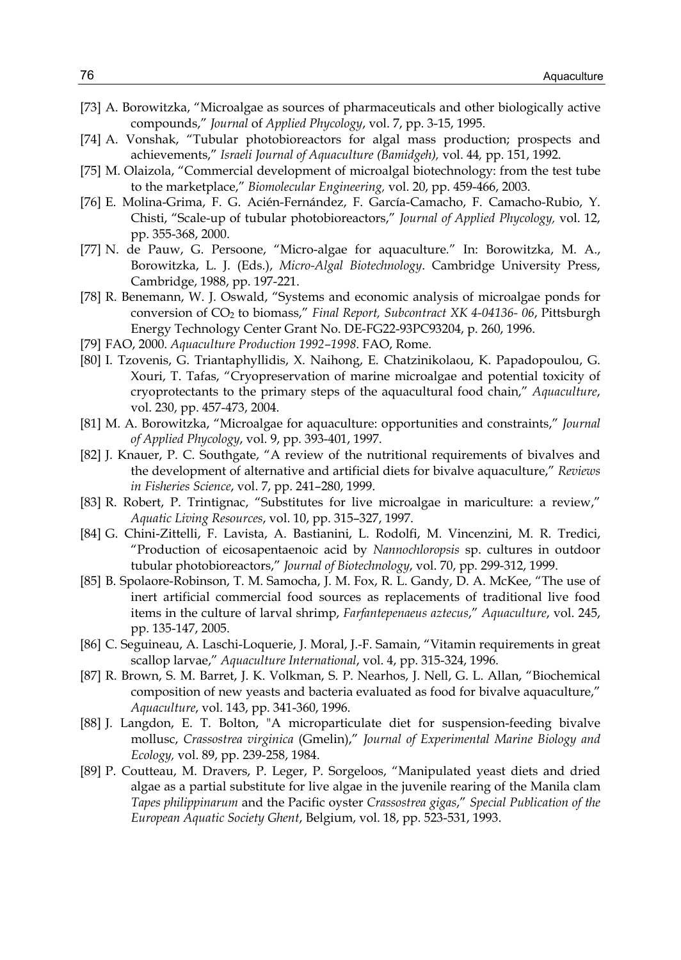- [73] A. Borowitzka, "Microalgae as sources of pharmaceuticals and other biologically active compounds," *Journal* of *Applied Phycology*, vol. 7, pp. 3-15, 1995.
- [74] A. Vonshak, "Tubular photobioreactors for algal mass production; prospects and achievements," *Israeli Journal of Aquaculture (Bamidgeh),* vol. 44*,* pp. 151, 1992.
- [75] M. Olaizola, "Commercial development of microalgal biotechnology: from the test tube to the marketplace," *Biomolecular Engineering,* vol. 20, pp. 459-466, 2003.
- [76] E. Molina-Grima, F. G. Acién-Fernández, F. García-Camacho, F. Camacho-Rubio, Y. Chisti, "Scale-up of tubular photobioreactors," *Journal of Applied Phycology,* vol. 12, pp. 355-368, 2000.
- [77] N. de Pauw, G. Persoone, "Micro-algae for aquaculture*.*" In: Borowitzka, M. A., Borowitzka, L. J. (Eds.), *Micro-Algal Biotechnology*. Cambridge University Press, Cambridge, 1988, pp. 197-221.
- [78] R. Benemann, W. J. Oswald, "Systems and economic analysis of microalgae ponds for conversion of CO2 to biomass," *Final Report, Subcontract XK 4-04136- 06*, Pittsburgh Energy Technology Center Grant No. DE-FG22-93PC93204, p. 260, 1996.
- [79] FAO, 2000. *Aquaculture Production 1992–1998*. FAO, Rome.
- [80] I. Tzovenis, G. Triantaphyllidis, X. Naihong, E. Chatzinikolaou, K. Papadopoulou, G. Xouri, T. Tafas, "Cryopreservation of marine microalgae and potential toxicity of cryoprotectants to the primary steps of the aquacultural food chain," *Aquaculture*, vol. 230, pp. 457-473, 2004.
- [81] M. A. Borowitzka, "Microalgae for aquaculture: opportunities and constraints," *Journal of Applied Phycology*, vol. 9, pp. 393-401, 1997.
- [82] J. Knauer, P. C. Southgate, "A review of the nutritional requirements of bivalves and the development of alternative and artificial diets for bivalve aquaculture," *Reviews in Fisheries Science*, vol. 7, pp. 241–280, 1999.
- [83] R. Robert, P. Trintignac, "Substitutes for live microalgae in mariculture: a review," *Aquatic Living Resources*, vol. 10, pp. 315–327, 1997.
- [84] G. Chini-Zittelli, F. Lavista, A. Bastianini, L. Rodolfi, M. Vincenzini, M. R. Tredici, "Production of eicosapentaenoic acid by *Nannochloropsis* sp. cultures in outdoor tubular photobioreactors," *Journal of Biotechnology*, vol. 70, pp. 299-312, 1999.
- [85] B. Spolaore-Robinson, T. M. Samocha, J. M. Fox, R. L. Gandy, D. A. McKee, "The use of inert artificial commercial food sources as replacements of traditional live food items in the culture of larval shrimp, *Farfantepenaeus aztecus*," *Aquaculture*, vol. 245, pp. 135-147, 2005.
- [86] C. Seguineau, A. Laschi-Loquerie, J. Moral, J.-F. Samain, "Vitamin requirements in great scallop larvae," *Aquaculture International*, vol. 4, pp. 315-324, 1996.
- [87] R. Brown, S. M. Barret, J. K. Volkman, S. P. Nearhos, J. Nell, G. L. Allan, "Biochemical composition of new yeasts and bacteria evaluated as food for bivalve aquaculture," *Aquaculture*, vol. 143, pp. 341-360, 1996.
- [88] J. Langdon, E. T. Bolton, "A microparticulate diet for suspension-feeding bivalve mollusc, *Crassostrea virginica* (Gmelin)," *Journal of Experimental Marine Biology and Ecology,* vol. 89, pp. 239-258, 1984.
- [89] P. Coutteau, M. Dravers, P. Leger, P. Sorgeloos, "Manipulated yeast diets and dried algae as a partial substitute for live algae in the juvenile rearing of the Manila clam *Tapes philippinarum* and the Pacific oyster *Crassostrea gigas*," *Special Publication of the European Aquatic Society Ghent*, Belgium, vol. 18, pp. 523-531, 1993.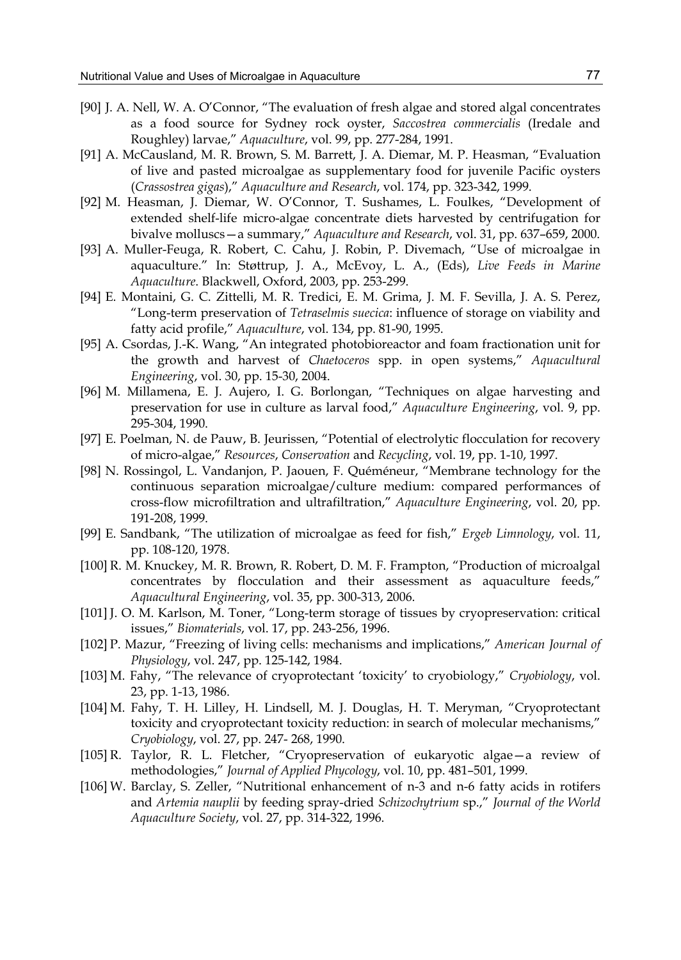- [90] J. A. Nell, W. A. O'Connor, "The evaluation of fresh algae and stored algal concentrates as a food source for Sydney rock oyster, *Saccostrea commercialis* (Iredale and Roughley) larvae," *Aquaculture*, vol. 99, pp. 277-284, 1991.
- [91] A. McCausland, M. R. Brown, S. M. Barrett, J. A. Diemar, M. P. Heasman, "Evaluation of live and pasted microalgae as supplementary food for juvenile Pacific oysters (*Crassostrea gigas*)," *Aquaculture and Research*, vol. 174, pp. 323-342, 1999.
- [92] M. Heasman, J. Diemar, W. O'Connor, T. Sushames, L. Foulkes, "Development of extended shelf-life micro-algae concentrate diets harvested by centrifugation for bivalve molluscs—a summary," *Aquaculture and Research*, vol. 31, pp. 637–659, 2000.
- [93] A. Muller-Feuga, R. Robert, C. Cahu, J. Robin, P. Divemach, "Use of microalgae in aquaculture." In: Støttrup, J. A., McEvoy, L. A., (Eds), *Live Feeds in Marine Aquaculture*. Blackwell, Oxford, 2003, pp. 253-299.
- [94] E. Montaini, G. C. Zittelli, M. R. Tredici, E. M. Grima, J. M. F. Sevilla, J. A. S. Perez, "Long-term preservation of *Tetraselmis suecica*: influence of storage on viability and fatty acid profile," *Aquaculture*, vol. 134, pp. 81-90, 1995.
- [95] A. Csordas, J.-K. Wang, "An integrated photobioreactor and foam fractionation unit for the growth and harvest of *Chaetoceros* spp. in open systems," *Aquacultural Engineering*, vol. 30, pp. 15-30, 2004.
- [96] M. Millamena, E. J. Aujero, I. G. Borlongan, "Techniques on algae harvesting and preservation for use in culture as larval food," *Aquaculture Engineering*, vol. 9, pp. 295-304, 1990.
- [97] E. Poelman, N. de Pauw, B. Jeurissen, "Potential of electrolytic flocculation for recovery of micro-algae," *Resources*, *Conservation* and *Recycling*, vol. 19, pp. 1-10, 1997.
- [98] N. Rossingol, L. Vandanjon, P. Jaouen, F. Quéméneur, "Membrane technology for the continuous separation microalgae/culture medium: compared performances of cross-flow microfiltration and ultrafiltration," *Aquaculture Engineering*, vol. 20, pp. 191-208, 1999.
- [99] E. Sandbank, "The utilization of microalgae as feed for fish," *Ergeb Limnology*, vol. 11, pp. 108-120, 1978.
- [100] R. M. Knuckey, M. R. Brown, R. Robert, D. M. F. Frampton, "Production of microalgal concentrates by flocculation and their assessment as aquaculture feeds," *Aquacultural Engineering*, vol. 35, pp. 300-313, 2006.
- [101] J. O. M. Karlson, M. Toner, "Long-term storage of tissues by cryopreservation: critical issues," *Biomaterials*, vol. 17, pp. 243-256, 1996.
- [102] P. Mazur, "Freezing of living cells: mechanisms and implications," *American Journal of Physiology*, vol. 247, pp. 125-142, 1984.
- [103] M. Fahy, "The relevance of cryoprotectant 'toxicity' to cryobiology," *Cryobiology*, vol. 23, pp. 1-13, 1986.
- [104] M. Fahy, T. H. Lilley, H. Lindsell, M. J. Douglas, H. T. Meryman, "Cryoprotectant toxicity and cryoprotectant toxicity reduction: in search of molecular mechanisms," *Cryobiology*, vol. 27, pp. 247- 268, 1990.
- [105] R. Taylor, R. L. Fletcher, "Cryopreservation of eukaryotic algae—a review of methodologies," *Journal of Applied Phycology*, vol. 10, pp. 481–501, 1999.
- [106] W. Barclay, S. Zeller, "Nutritional enhancement of n-3 and n-6 fatty acids in rotifers and *Artemia nauplii* by feeding spray-dried *Schizochytrium* sp.," *Journal of the World Aquaculture Society*, vol. 27, pp. 314-322, 1996.